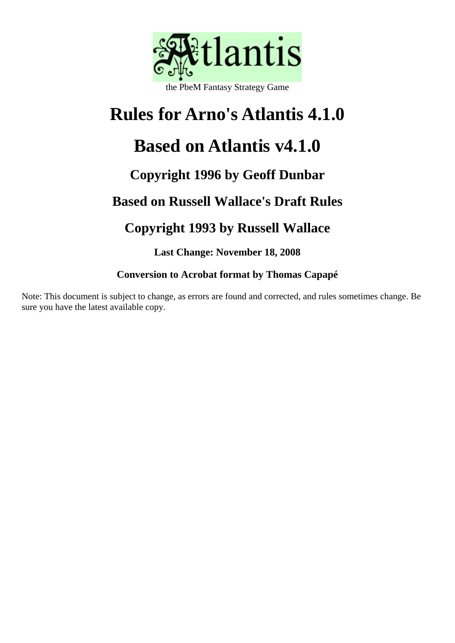

### the PbeM Fantasy Strategy Game

# **Rules for Arno's Atlantis 4.1.0**

## **Based on Atlantis v4.1.0**

## **Copyright 1996 by Geoff Dunbar**

## **Based on Russell Wallace's Draft Rules**

## **Copyright 1993 by Russell Wallace**

**Last Change: November 18, 2008** 

### **Conversion to Acrobat format by Thomas Capapé**

Note: This document is subject to change, as errors are found and corrected, and rules sometimes change. Be sure you have the latest available copy.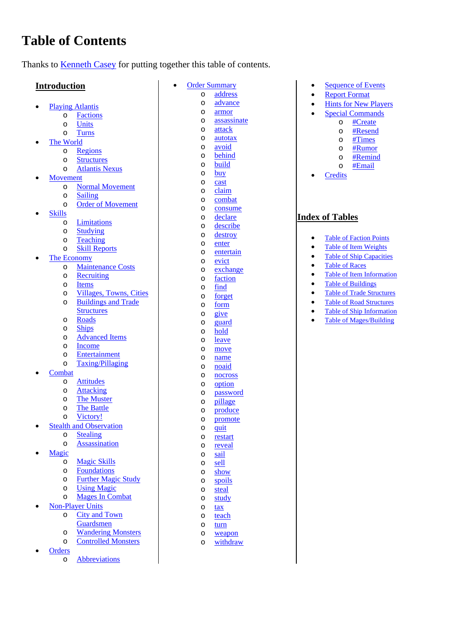## **Table of Contents**

Thanks to [Kenneth Casey](mailto:ken@satori.gso.uri.edu) for putting together this table of contents.

### **Introduction**

- [Playing Atlantis](#page-2-0)
	- o [Factions](#page-2-1)
	- o [Units](#page-3-0) o [Turns](#page-3-1)
- [The World](#page-3-2)
	- o [Regions](#page-4-0)
		- o [Structures](#page-5-0) 
			- o [Atlantis Nexus](#page-5-1)
- [Movement](#page-5-2) 
	- o [Normal Movement](#page-6-0)
	- o [Sailing](#page-7-0)
	- o [Order of Movement](#page-7-1)
- [Skills](#page-8-0)
	- o [Limitations](#page-8-1)
	- o [Studying](#page-9-0)
	- o [Teaching](#page-9-1)
	- o [Skill Reports](#page-9-2)
- [The Economy](#page-9-3) 
	- o [Maintenance Costs](#page-10-0)
	- o [Recruiting](#page-10-1)
	- o [Items](#page-10-2)
	- o [Villages, Towns, Cities](#page-12-0) o [Buildings and Trade](#page-12-1)
	- **Structures** o [Roads](#page-13-0)
	-
	- o [Ships](#page-13-1)  o [Advanced Items](#page-13-2)
	- o [Income](#page-13-3)
	- o [Entertainment](#page-14-0)
	- o [Taxing/Pillaging](#page-14-1)
- **[Combat](#page-14-2)**
- o [Attitudes](#page-14-3)
	- o [Attacking](#page-15-0)
	- o [The Muster](#page-15-1)
	- o [The Battle](#page-16-0)
	- o [Victory!](#page-17-0)
- [Stealth and Observation](#page-17-1) 
	- o [Stealing](#page-17-2)
		- o [Assassination](#page-17-3)
- [Magic](#page-18-0) 
	- o [Magic Skills](#page-18-1)
	- o [Foundations](#page-18-2)
	- o [Further Magic Study](#page-18-3)
	- o [Using Magic](#page-18-4)
	- o [Mages In Combat](#page-19-0)
	- [Non-Player Units](#page-19-1) 
		- o [City and Town](#page-19-2)
			- [Guardsmen](#page-19-2)
			- o [Wandering Monsters](#page-20-0)
			- o [Controlled Monsters](#page-20-1)
- **Orders** 
	- o [Abbreviations](#page-21-0)
- [Order Summary](#page-21-1) o [address](#page-21-2) 
	- o [advance](#page-21-3) 
		- o [armor](#page-21-4)
	- o [assassinate](#page-22-0)

• [Sequence of Events](#page-43-0) • Report Format • [Hints for New Players](#page-44-0) [Special Commands](#page-44-1)  o [#Create](#page-45-0) o [#Resend](#page-4-1)  o [#Times](#page-4-1) o [#Rumor](#page-4-1) o [#Remind](http://www.arno-saxena.de/atlantis/atl_rules.php#_remind)   $\circ$  [#Email](http://www.arno-saxena.de/atlantis/atl_rules.php#_email)

**[Credits](#page-48-0)** 

**Index of Tables** 

• Table of Faction Points • Table of Item Weights • [Table of Ship Capacities](#page-7-2)

• Table of Item Information • Table of Buildings • Table of Trade Structures [Table of Road Structures](#page-13-4)  • Table of Ship Information [Table of Mages/Building](#page-18-5) 

[Table of Races](#page-8-2)

- o [attack](#page-22-1)
- o [autotax](#page-22-2)
- o [avoid](#page-23-0)
- o [behind](#page-23-1) o [build](#page-23-2)
- o [buy](#page-24-0)
- o [cast](#page-24-1)
- o [claim](#page-25-0)
- o [combat](#page-25-1)
- o [consume](#page-25-2)
- o [declare](#page-26-0)
- o [describe](#page-26-1)
- o [destroy](#page-27-0)
- o [enter](#page-27-1)
- o [entertain](#page-27-2)
- o [evict](#page-28-0)
- o [exchange](#page-28-1)
- o [faction](#page-28-2)
- o [find](#page-29-0)  o [forget](#page-29-1)
- o [form](#page-29-2)
- o [give](#page-30-0)
- o [guard](#page-31-0)
- o [hold](#page-32-0)
- o [leave](#page-32-1)
- o [move](#page-32-2)
- o [name](#page-33-0)
- o [noaid](#page-34-0)
- o [nocross](#page-34-1)
- o [option](#page-34-2)
- o [password](#page-35-0)
- o [pillage](#page-36-0)
- o [produce](#page-36-1)
- o [promote](#page-36-2)
- o [quit](#page-36-3)
- o [restart](#page-37-0)  o [reveal](#page-37-1)
- o [sail](#page-37-2)
- o [sell](#page-38-0)
- o [show](#page-38-1)
- o [spoils](#page-39-0)
- o [steal](#page-39-1)
- o [study](#page-40-0)
- o [tax](#page-40-1)
- o teach o [turn](#page-41-0)
- o [weapon](#page-42-0)

o [withdraw](#page-42-1)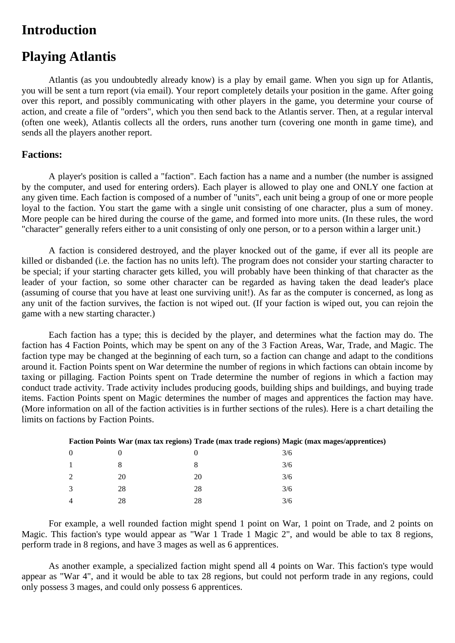### <span id="page-2-0"></span>**Introduction**

### **Playing Atlantis**

Atlantis (as you undoubtedly already know) is a play by email game. When you sign up for Atlantis, you will be sent a turn report (via email). Your report completely details your position in the game. After going over this report, and possibly communicating with other players in the game, you determine your course of action, and create a file of "orders", which you then send back to the Atlantis server. Then, at a regular interval (often one week), Atlantis collects all the orders, runs another turn (covering one month in game time), and sends all the players another report.

### <span id="page-2-1"></span>**Factions:**

A player's position is called a "faction". Each faction has a name and a number (the number is assigned by the computer, and used for entering orders). Each player is allowed to play one and ONLY one faction at any given time. Each faction is composed of a number of "units", each unit being a group of one or more people loyal to the faction. You start the game with a single unit consisting of one character, plus a sum of money. More people can be hired during the course of the game, and formed into more units. (In these rules, the word "character" generally refers either to a unit consisting of only one person, or to a person within a larger unit.)

A faction is considered destroyed, and the player knocked out of the game, if ever all its people are killed or disbanded (i.e. the faction has no units left). The program does not consider your starting character to be special; if your starting character gets killed, you will probably have been thinking of that character as the leader of your faction, so some other character can be regarded as having taken the dead leader's place (assuming of course that you have at least one surviving unit!). As far as the computer is concerned, as long as any unit of the faction survives, the faction is not wiped out. (If your faction is wiped out, you can rejoin the game with a new starting character.)

Each faction has a type; this is decided by the player, and determines what the faction may do. The faction has 4 Faction Points, which may be spent on any of the 3 Faction Areas, War, Trade, and Magic. The faction type may be changed at the beginning of each turn, so a faction can change and adapt to the conditions around it. Faction Points spent on War determine the number of regions in which factions can obtain income by taxing or pillaging. Faction Points spent on Trade determine the number of regions in which a faction may conduct trade activity. Trade activity includes producing goods, building ships and buildings, and buying trade items. Faction Points spent on Magic determines the number of mages and apprentices the faction may have. (More information on all of the faction activities is in further sections of the rules). Here is a chart detailing the limits on factions by Faction Points.

|                  |    | __       |     |
|------------------|----|----------|-----|
| $\boldsymbol{0}$ |    | $\theta$ | 3/6 |
| $\mathbf{1}$     | 8  | 8        | 3/6 |
| $\overline{2}$   | 20 | 20       | 3/6 |
| 3                | 28 | 28       | 3/6 |
| 4                | 28 | 28       | 3/6 |

#### <span id="page-2-2"></span>**Faction Points War (max tax regions) Trade (max trade regions) Magic (max mages/apprentices)**

For example, a well rounded faction might spend 1 point on War, 1 point on Trade, and 2 points on Magic. This faction's type would appear as "War 1 Trade 1 Magic 2", and would be able to tax 8 regions, perform trade in 8 regions, and have 3 mages as well as 6 apprentices.

As another example, a specialized faction might spend all 4 points on War. This faction's type would appear as "War 4", and it would be able to tax 28 regions, but could not perform trade in any regions, could only possess 3 mages, and could only possess 6 apprentices.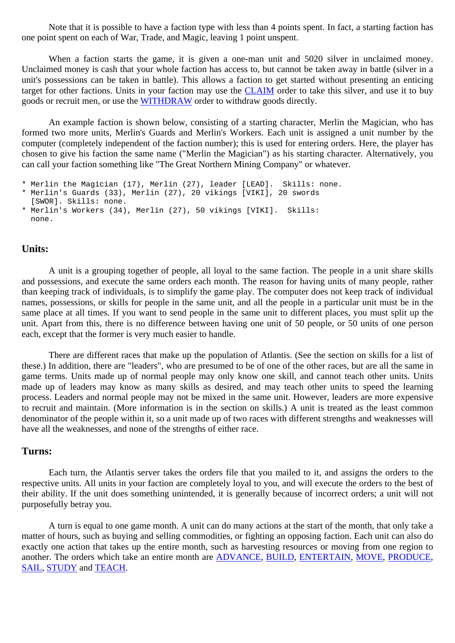Note that it is possible to have a faction type with less than 4 points spent. In fact, a starting faction has one point spent on each of War, Trade, and Magic, leaving 1 point unspent.

When a faction starts the game, it is given a one-man unit and 5020 silver in unclaimed money. Unclaimed money is cash that your whole faction has access to, but cannot be taken away in battle (silver in a unit's possessions can be taken in battle). This allows a faction to get started without presenting an enticing target for other factions. Units in your faction may use the [CLAIM](#page-25-0) order to take this silver, and use it to buy goods or recruit men, or use the [WITHDRAW](#page-42-1) order to withdraw goods directly.

An example faction is shown below, consisting of a starting character, Merlin the Magician, who has formed two more units, Merlin's Guards and Merlin's Workers. Each unit is assigned a unit number by the computer (completely independent of the faction number); this is used for entering orders. Here, the player has chosen to give his faction the same name ("Merlin the Magician") as his starting character. Alternatively, you can call your faction something like "The Great Northern Mining Company" or whatever.

```
* Merlin the Magician (17), Merlin (27), leader [LEAD]. Skills: none.
```

```
* Merlin's Guards (33), Merlin (27), 20 vikings [VIKI], 20 swords 
   [SWOR]. Skills: none.
```

```
* Merlin's Workers (34), Merlin (27), 50 vikings [VIKI]. Skills: 
  none.
```
### <span id="page-3-0"></span>**Units:**

A unit is a grouping together of people, all loyal to the same faction. The people in a unit share skills and possessions, and execute the same orders each month. The reason for having units of many people, rather than keeping track of individuals, is to simplify the game play. The computer does not keep track of individual names, possessions, or skills for people in the same unit, and all the people in a particular unit must be in the same place at all times. If you want to send people in the same unit to different places, you must split up the unit. Apart from this, there is no difference between having one unit of 50 people, or 50 units of one person each, except that the former is very much easier to handle.

There are different races that make up the population of Atlantis. (See the section on skills for a list of these.) In addition, there are "leaders", who are presumed to be of one of the other races, but are all the same in game terms. Units made up of normal people may only know one skill, and cannot teach other units. Units made up of leaders may know as many skills as desired, and may teach other units to speed the learning process. Leaders and normal people may not be mixed in the same unit. However, leaders are more expensive to recruit and maintain. (More information is in the section on skills.) A unit is treated as the least common denominator of the people within it, so a unit made up of two races with different strengths and weaknesses will have all the weaknesses, and none of the strengths of either race.

### <span id="page-3-1"></span>**Turns:**

Each turn, the Atlantis server takes the orders file that you mailed to it, and assigns the orders to the respective units. All units in your faction are completely loyal to you, and will execute the orders to the best of their ability. If the unit does something unintended, it is generally because of incorrect orders; a unit will not purposefully betray you.

<span id="page-3-2"></span>A turn is equal to one game month. A unit can do many actions at the start of the month, that only take a matter of hours, such as buying and selling commodities, or fighting an opposing faction. Each unit can also do exactly one action that takes up the entire month, such as harvesting resources or moving from one region to another. The orders which take an entire month are [ADVANCE,](#page-21-3) [BUILD](#page-23-2), [ENTERTAIN](#page-27-2), [MOVE](#page-32-2), [PRODUCE,](#page-36-1) [SAIL](#page-37-2), [STUDY](#page-40-0) and [TEACH](#page-40-2).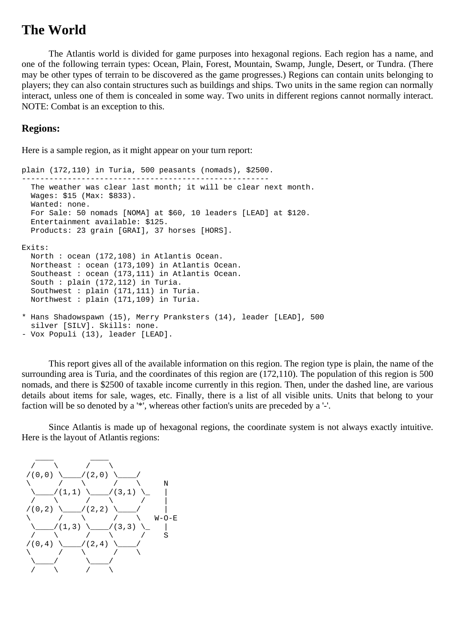### **The World**

The Atlantis world is divided for game purposes into hexagonal regions. Each region has a name, and one of the following terrain types: Ocean, Plain, Forest, Mountain, Swamp, Jungle, Desert, or Tundra. (There may be other types of terrain to be discovered as the game progresses.) Regions can contain units belonging to players; they can also contain structures such as buildings and ships. Two units in the same region can normally interact, unless one of them is concealed in some way. Two units in different regions cannot normally interact. NOTE: Combat is an exception to this.

### <span id="page-4-0"></span>**Regions:**

Here is a sample region, as it might appear on your turn report:

```
plain (172,110) in Turia, 500 peasants (nomads), $2500. 
------------------------------------------------------ 
  The weather was clear last month; it will be clear next month. 
  Wages: $15 (Max: $833). 
  Wanted: none. 
  For Sale: 50 nomads [NOMA] at $60, 10 leaders [LEAD] at $120. 
   Entertainment available: $125. 
   Products: 23 grain [GRAI], 37 horses [HORS]. 
Exits: 
  North : ocean (172,108) in Atlantis Ocean. 
  Northeast : ocean (173,109) in Atlantis Ocean. 
  Southeast : ocean (173,111) in Atlantis Ocean. 
   South : plain (172,112) in Turia. 
   Southwest : plain (171,111) in Turia. 
  Northwest : plain (171,109) in Turia. 
* Hans Shadowspawn (15), Merry Pranksters (14), leader [LEAD], 500 
  silver [SILV]. Skills: none. 
- Vox Populi (13), leader [LEAD].
```
This report gives all of the available information on this region. The region type is plain, the name of the surrounding area is Turia, and the coordinates of this region are (172,110). The population of this region is 500 nomads, and there is \$2500 of taxable income currently in this region. Then, under the dashed line, are various details about items for sale, wages, etc. Finally, there is a list of all visible units. Units that belong to your faction will be so denoted by a '\*', whereas other faction's units are preceded by a '-'.

Since Atlantis is made up of hexagonal regions, the coordinate system is not always exactly intuitive. Here is the layout of Atlantis regions:

<span id="page-4-1"></span>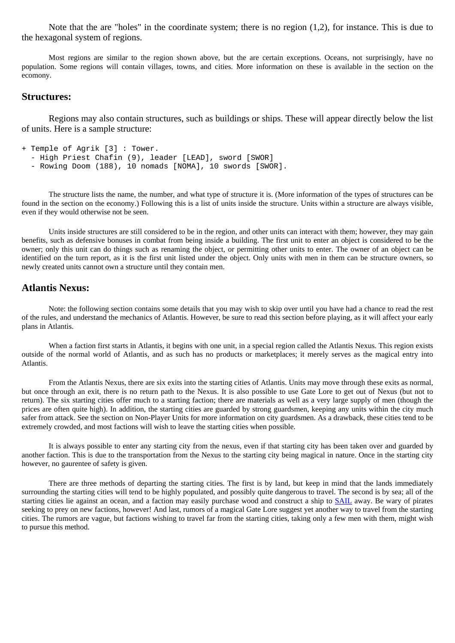Note that the are "holes" in the coordinate system; there is no region (1,2), for instance. This is due to the hexagonal system of regions.

Most regions are similar to the region shown above, but the are certain exceptions. Oceans, not surprisingly, have no population. Some regions will contain villages, towns, and cities. More information on these is available in the section on the ecomony.

### <span id="page-5-0"></span>**Structures:**

Regions may also contain structures, such as buildings or ships. These will appear directly below the list of units. Here is a sample structure:

```
+ Temple of Agrik [3] : Tower.
```

```
 - High Priest Chafin (9), leader [LEAD], sword [SWOR]
```

```
 - Rowing Doom (188), 10 nomads [NOMA], 10 swords [SWOR].
```
The structure lists the name, the number, and what type of structure it is. (More information of the types of structures can be found in the section on the economy.) Following this is a list of units inside the structure. Units within a structure are always visible, even if they would otherwise not be seen.

Units inside structures are still considered to be in the region, and other units can interact with them; however, they may gain benefits, such as defensive bonuses in combat from being inside a building. The first unit to enter an object is considered to be the owner; only this unit can do things such as renaming the object, or permitting other units to enter. The owner of an object can be identified on the turn report, as it is the first unit listed under the object. Only units with men in them can be structure owners, so newly created units cannot own a structure until they contain men.

### <span id="page-5-1"></span>**Atlantis Nexus:**

Note: the following section contains some details that you may wish to skip over until you have had a chance to read the rest of the rules, and understand the mechanics of Atlantis. However, be sure to read this section before playing, as it will affect your early plans in Atlantis.

When a faction first starts in Atlantis, it begins with one unit, in a special region called the Atlantis Nexus. This region exists outside of the normal world of Atlantis, and as such has no products or marketplaces; it merely serves as the magical entry into Atlantis.

From the Atlantis Nexus, there are six exits into the starting cities of Atlantis. Units may move through these exits as normal, but once through an exit, there is no return path to the Nexus. It is also possible to use Gate Lore to get out of Nexus (but not to return). The six starting cities offer much to a starting faction; there are materials as well as a very large supply of men (though the prices are often quite high). In addition, the starting cities are guarded by strong guardsmen, keeping any units within the city much safer from attack. See the section on Non-Player Units for more information on city guardsmen. As a drawback, these cities tend to be extremely crowded, and most factions will wish to leave the starting cities when possible.

It is always possible to enter any starting city from the nexus, even if that starting city has been taken over and guarded by another faction. This is due to the transportation from the Nexus to the starting city being magical in nature. Once in the starting city however, no gaurentee of safety is given.

<span id="page-5-2"></span>There are three methods of departing the starting cities. The first is by land, but keep in mind that the lands immediately surrounding the starting cities will tend to be highly populated, and possibly quite dangerous to travel. The second is by sea; all of the starting cities lie against an ocean, and a faction may easily purchase wood and construct a ship to **SAIL** away. Be wary of pirates seeking to prey on new factions, however! And last, rumors of a magical Gate Lore suggest yet another way to travel from the starting cities. The rumors are vague, but factions wishing to travel far from the starting cities, taking only a few men with them, might wish to pursue this method.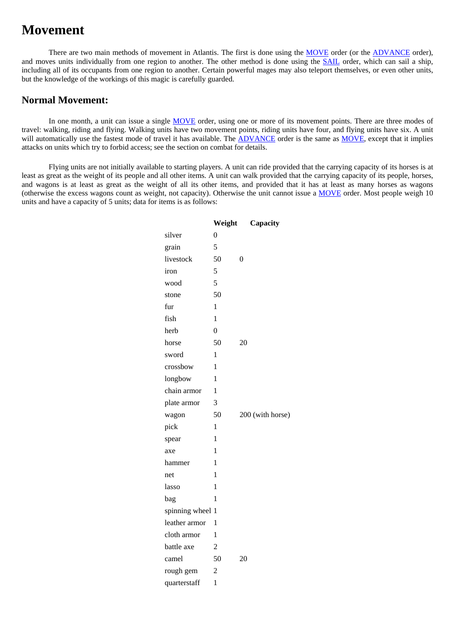### **Movement**

There are two main methods of movement in Atlantis. The first is done using the [MOVE](#page-32-2) order (or the [ADVANCE](#page-21-3) order), and moves units individually from one region to another. The other method is done using the **SAIL** order, which can sail a ship, including all of its occupants from one region to another. Certain powerful mages may also teleport themselves, or even other units, but the knowledge of the workings of this magic is carefully guarded.

### <span id="page-6-0"></span>**Normal Movement:**

In one month, a unit can issue a single [MOVE](#page-32-2) order, using one or more of its movement points. There are three modes of travel: walking, riding and flying. Walking units have two movement points, riding units have four, and flying units have six. A unit will automatically use the fastest mode of travel it has available. The [ADVANCE](#page-21-3) order is the same as [MOVE](#page-32-2), except that it implies attacks on units which try to forbid access; see the section on combat for details.

<span id="page-6-1"></span>Flying units are not initially available to starting players. A unit can ride provided that the carrying capacity of its horses is at least as great as the weight of its people and all other items. A unit can walk provided that the carrying capacity of its people, horses, and wagons is at least as great as the weight of all its other items, and provided that it has at least as many horses as wagons (otherwise the excess wagons count as weight, not capacity). Otherwise the unit cannot issue a [MOVE](#page-32-2) order. Most people weigh 10 units and have a capacity of 5 units; data for items is as follows:

|                  | Weight | Capacity         |
|------------------|--------|------------------|
| silver           | 0      |                  |
| grain            | 5      |                  |
| livestock        | 50     | 0                |
| iron             | 5      |                  |
| wood             | 5      |                  |
| stone            | 50     |                  |
| fur              | 1      |                  |
| fish             | 1      |                  |
| herb             | 0      |                  |
| horse            | 50     | 20               |
| sword            | 1      |                  |
| crossbow         | 1      |                  |
| longbow          | 1      |                  |
| chain armor      | 1      |                  |
| plate armor      | 3      |                  |
| wagon            | 50     | 200 (with horse) |
| pick             | 1      |                  |
| spear            | 1      |                  |
| axe              | 1      |                  |
| hammer           | 1      |                  |
| net              | 1      |                  |
| lasso            | 1      |                  |
| bag              | 1      |                  |
| spinning wheel 1 |        |                  |
| leather armor    | 1      |                  |
| cloth armor      | 1      |                  |
| battle axe       | 2      |                  |
| camel            | 50     | 20               |
| rough gem        | 2      |                  |
| quarterstaff     | 1      |                  |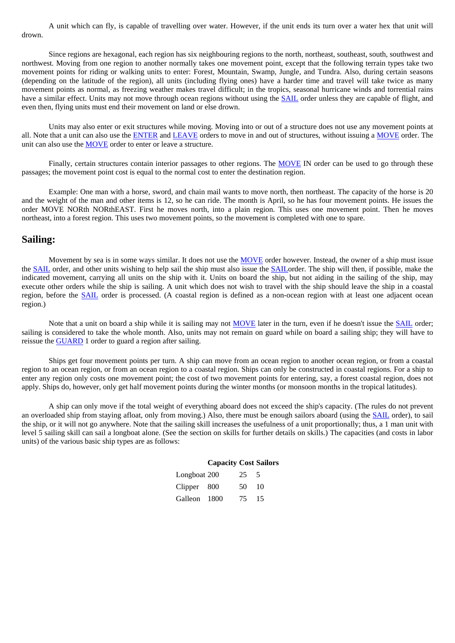A unit which can fly, is capable of travelling over water. However, if the unit ends its turn over a water hex that unit will drown.

Since regions are hexagonal, each region has six neighbouring regions to the north, northeast, southeast, south, southwest and northwest. Moving from one region to another normally takes one movement point, except that the following terrain types take two movement points for riding or walking units to enter: Forest, Mountain, Swamp, Jungle, and Tundra. Also, during certain seasons (depending on the latitude of the region), all units (including flying ones) have a harder time and travel will take twice as many movement points as normal, as freezing weather makes travel difficult; in the tropics, seasonal hurricane winds and torrential rains have a similar effect. Units may not move through ocean regions without using the [SAIL](#page-37-2) order unless they are capable of flight, and even then, flying units must end their movement on land or else drown.

Units may also enter or exit structures while moving. Moving into or out of a structure does not use any movement points at all. Note that a unit can also use the [ENTER](http://www.arno-saxena.de/atlantis/atl_rules.php#enter) and [LEAVE](http://www.arno-saxena.de/atlantis/atl_rules.php#leave) orders to move in and out of structures, without issuing a [MOVE](http://www.arno-saxena.de/atlantis/atl_rules.php#move) order. The unit can also use the [MOVE](http://www.arno-saxena.de/atlantis/atl_rules.php#move) order to enter or leave a structure.

Finally, certain structures contain interior passages to other regions. The [MOVE](http://www.arno-saxena.de/atlantis/atl_rules.php#move) IN order can be used to go through these passages; the movement point cost is equal to the normal cost to enter the destination region.

Example: One man with a horse, sword, and chain mail wants to move north, then northeast. The capacity of the horse is 20 and the weight of the man and other items is 12, so he can ride. The month is April, so he has four movement points. He issues the order MOVE NORth NORthEAST. First he moves north, into a plain region. This uses one movement point. Then he moves northeast, into a forest region. This uses two movement points, so the movement is completed with one to spare.

#### <span id="page-7-0"></span>**Sailing:**

Movement by sea is in some ways similar. It does not use the [MOVE](#page-32-2) order however. Instead, the owner of a ship must issue the [SAIL](#page-37-2) order, and other units wishing to help sail the ship must also issue the [SAIL](#page-37-2)order. The ship will then, if possible, make the indicated movement, carrying all units on the ship with it. Units on board the ship, but not aiding in the sailing of the ship, may execute other orders while the ship is sailing. A unit which does not wish to travel with the ship should leave the ship in a coastal region, before the [SAIL](#page-37-2) order is processed. (A coastal region is defined as a non-ocean region with at least one adjacent ocean region.)

Note that a unit on board a ship while it is sailing may not [MOVE](#page-32-2) later in the turn, even if he doesn't issue the [SAIL](#page-37-2) order; sailing is considered to take the whole month. Also, units may not remain on guard while on board a sailing ship; they will have to reissue the [GUARD](#page-31-0) 1 order to guard a region after sailing.

Ships get four movement points per turn. A ship can move from an ocean region to another ocean region, or from a coastal region to an ocean region, or from an ocean region to a coastal region. Ships can only be constructed in coastal regions. For a ship to enter any region only costs one movement point; the cost of two movement points for entering, say, a forest coastal region, does not apply. Ships do, however, only get half movement points during the winter months (or monsoon months in the tropical latitudes).

<span id="page-7-2"></span><span id="page-7-1"></span>A ship can only move if the total weight of everything aboard does not exceed the ship's capacity. (The rules do not prevent an overloaded ship from staying afloat, only from moving.) Also, there must be enough sailors aboard (using the [SAIL](#page-37-2) order), to sail the ship, or it will not go anywhere. Note that the sailing skill increases the usefulness of a unit proportionally; thus, a 1 man unit with level 5 sailing skill can sail a longboat alone. (See the section on skills for further details on skills.) The capacities (and costs in labor units) of the various basic ship types are as follows:

### **Capacity Cost Sailors**

| Longboat 200 | 25 5  |  |
|--------------|-------|--|
| Clipper 800  | 50 10 |  |
| Galleon 1800 | 75 15 |  |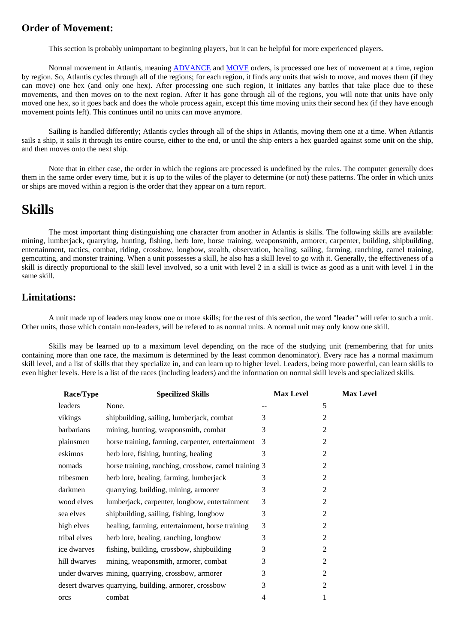### **Order of Movement:**

This section is probably unimportant to beginning players, but it can be helpful for more experienced players.

Normal movement in Atlantis, meaning [ADVANCE](#page-21-3) and [MOVE](#page-32-2) orders, is processed one hex of movement at a time, region by region. So, Atlantis cycles through all of the regions; for each region, it finds any units that wish to move, and moves them (if they can move) one hex (and only one hex). After processing one such region, it initiates any battles that take place due to these movements, and then moves on to the next region. After it has gone through all of the regions, you will note that units have only moved one hex, so it goes back and does the whole process again, except this time moving units their second hex (if they have enough movement points left). This continues until no units can move anymore.

Sailing is handled differently; Atlantis cycles through all of the ships in Atlantis, moving them one at a time. When Atlantis sails a ship, it sails it through its entire course, either to the end, or until the ship enters a hex guarded against some unit on the ship, and then moves onto the next ship.

Note that in either case, the order in which the regions are processed is undefined by the rules. The computer generally does them in the same order every time, but it is up to the wiles of the player to determine (or not) these patterns. The order in which units or ships are moved within a region is the order that they appear on a turn report.

### <span id="page-8-0"></span>**Skills**

The most important thing distinguishing one character from another in Atlantis is skills. The following skills are available: mining, lumberjack, quarrying, hunting, fishing, herb lore, horse training, weaponsmith, armorer, carpenter, building, shipbuilding, entertainment, tactics, combat, riding, crossbow, longbow, stealth, observation, healing, sailing, farming, ranching, camel training, gemcutting, and monster training. When a unit possesses a skill, he also has a skill level to go with it. Generally, the effectiveness of a skill is directly proportional to the skill level involved, so a unit with level 2 in a skill is twice as good as a unit with level 1 in the same skill.

### <span id="page-8-1"></span>**Limitations:**

A unit made up of leaders may know one or more skills; for the rest of this section, the word "leader" will refer to such a unit. Other units, those which contain non-leaders, will be refered to as normal units. A normal unit may only know one skill.

<span id="page-8-2"></span>Skills may be learned up to a maximum level depending on the race of the studying unit (remembering that for units containing more than one race, the maximum is determined by the least common denominator). Every race has a normal maximum skill level, and a list of skills that they specialize in, and can learn up to higher level. Leaders, being more powerful, can learn skills to even higher levels. Here is a list of the races (including leaders) and the information on normal skill levels and specialized skills.

| Race/Type    | <b>Specilized Skills</b>                              | <b>Max Level</b> | <b>Max Level</b> |
|--------------|-------------------------------------------------------|------------------|------------------|
| leaders      | None.                                                 |                  | 5                |
| vikings      | shipbuilding, sailing, lumberjack, combat             | 3                | 2                |
| barbarians   | mining, hunting, weaponsmith, combat                  | 3                | $\overline{2}$   |
| plainsmen    | horse training, farming, carpenter, entertainment     | 3                | 2                |
| eskimos      | herb lore, fishing, hunting, healing                  | 3                | $\overline{2}$   |
| nomads       | horse training, ranching, crossbow, camel training 3  |                  | 2                |
| tribesmen    | herb lore, healing, farming, lumberjack               | 3                | $\overline{2}$   |
| darkmen      | quarrying, building, mining, armorer                  | 3                | $\overline{2}$   |
| wood elves   | lumberjack, carpenter, longbow, entertainment         | 3                | $\overline{2}$   |
| sea elves    | shipbuilding, sailing, fishing, longbow               | 3                | $\overline{2}$   |
| high elves   | healing, farming, entertainment, horse training       | 3                | 2                |
| tribal elves | herb lore, healing, ranching, longbow                 | 3                | 2                |
| ice dwarves  | fishing, building, crossbow, shipbuilding             | 3                | $\overline{2}$   |
| hill dwarves | mining, weaponsmith, armorer, combat                  | 3                | $\overline{2}$   |
|              | under dwarves mining, quarrying, crossbow, armorer    | 3                | $\overline{2}$   |
|              | desert dwarves quarrying, building, armorer, crossbow | 3                | $\overline{2}$   |
| orcs         | combat                                                | 4                | 1                |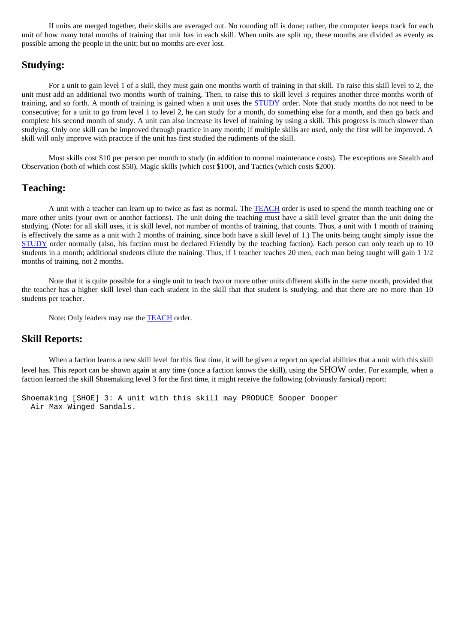If units are merged together, their skills are averaged out. No rounding off is done; rather, the computer keeps track for each unit of how many total months of training that unit has in each skill. When units are split up, these months are divided as evenly as possible among the people in the unit; but no months are ever lost.

### <span id="page-9-0"></span>**Studying:**

For a unit to gain level 1 of a skill, they must gain one months worth of training in that skill. To raise this skill level to 2, the unit must add an additional two months worth of training. Then, to raise this to skill level 3 requires another three months worth of training, and so forth. A month of training is gained when a unit uses the [STUDY](#page-40-0) order. Note that study months do not need to be consecutive; for a unit to go from level 1 to level 2, he can study for a month, do something else for a month, and then go back and complete his second month of study. A unit can also increase its level of training by using a skill. This progress is much slower than studying. Only one skill can be improved through practice in any month; if multiple skills are used, only the first will be improved. A skill will only improve with practice if the unit has first studied the rudiments of the skill.

Most skills cost \$10 per person per month to study (in addition to normal maintenance costs). The exceptions are Stealth and Observation (both of which cost \$50), Magic skills (which cost \$100), and Tactics (which costs \$200).

### <span id="page-9-1"></span>**Teaching:**

A unit with a teacher can learn up to twice as fast as normal. The **TEACH** order is used to spend the month teaching one or more other units (your own or another factions). The unit doing the teaching must have a skill level greater than the unit doing the studying. (Note: for all skill uses, it is skill level, not number of months of training, that counts. Thus, a unit with 1 month of training is effectively the same as a unit with 2 months of training, since both have a skill level of 1.) The units being taught simply issue the [STUDY](#page-40-0) order normally (also, his faction must be declared Friendly by the teaching faction). Each person can only teach up to 10 students in a month; additional students dilute the training. Thus, if 1 teacher teaches 20 men, each man being taught will gain 1 1/2 months of training, not 2 months.

Note that it is quite possible for a single unit to teach two or more other units different skills in the same month, provided that the teacher has a higher skill level than each student in the skill that that student is studying, and that there are no more than 10 students per teacher.

Note: Only leaders may use the **TEACH** order.

### <span id="page-9-2"></span>**Skill Reports:**

When a faction learns a new skill level for this first time, it will be given a report on special abilities that a unit with this skill level has. This report can be shown again at any time (once a faction knows the skill), using the [SHOW](http://www.arno-saxena.de/atlantis/atl_rules.php#show) order. For example, when a faction learned the skill Shoemaking level 3 for the first time, it might receive the following (obviously farsical) report:

<span id="page-9-3"></span>Shoemaking [SHOE] 3: A unit with this skill may PRODUCE Sooper Dooper Air Max Winged Sandals.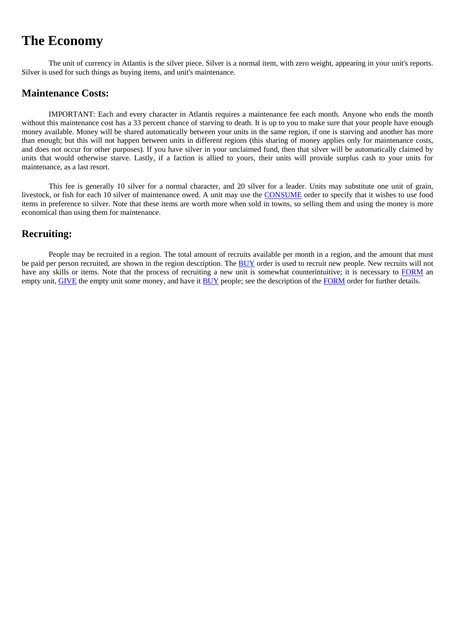### **The Economy**

The unit of currency in Atlantis is the silver piece. Silver is a normal item, with zero weight, appearing in your unit's reports. Silver is used for such things as buying items, and unit's maintenance.

### <span id="page-10-0"></span>**Maintenance Costs:**

IMPORTANT: Each and every character in Atlantis requires a maintenance fee each month. Anyone who ends the month without this maintenance cost has a 33 percent chance of starving to death. It is up to you to make sure that your people have enough money available. Money will be shared automatically between your units in the same region, if one is starving and another has more than enough; but this will not happen between units in different regions (this sharing of money applies only for maintenance costs, and does not occur for other purposes). If you have silver in your unclaimed fund, then that silver will be automatically claimed by units that would otherwise starve. Lastly, if a faction is allied to yours, their units will provide surplus cash to your units for maintenance, as a last resort.

This fee is generally 10 silver for a normal character, and 20 silver for a leader. Units may substitute one unit of grain, livestock, or fish for each 10 silver of maintenance owed. A unit may use the [CONSUME](#page-26-2) order to specify that it wishes to use food items in preference to silver. Note that these items are worth more when sold in towns, so selling them and using the money is more economical than using them for maintenance.

### <span id="page-10-1"></span>**Recruiting:**

<span id="page-10-2"></span>People may be recruited in a region. The total amount of recruits available per month in a region, and the amount that must be paid per person recruited, are shown in the region description. The [BUY](#page-24-0) order is used to recruit new people. New recruits will not have any skills or items. Note that the process of recruiting a new unit is somewhat counterintuitive; it is necessary to [FORM](#page-29-2) an empty unit, [GIVE](#page-30-0) the empty unit some money, and have it [BUY](#page-24-0) people; see the description of the [FORM](#page-29-2) order for further details.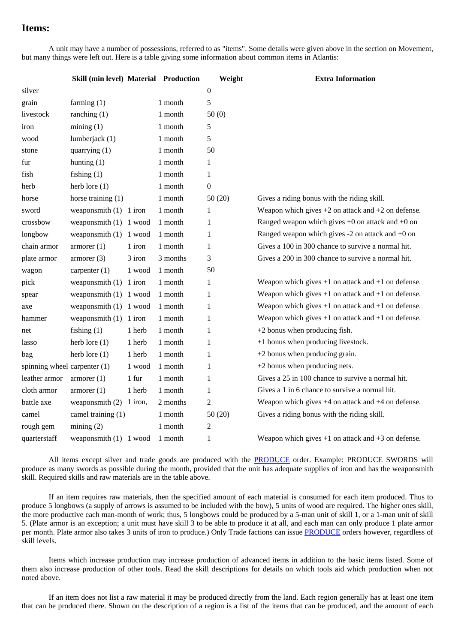### **Items:**

A unit may have a number of possessions, referred to as "items". Some details were given above in the section on Movement, but many things were left out. Here is a table giving some information about common items in Atlantis:

<span id="page-11-0"></span>

|                              | Skill (min level) Material Production |         |          | Weight           | <b>Extra Information</b>                               |
|------------------------------|---------------------------------------|---------|----------|------------------|--------------------------------------------------------|
| silver                       |                                       |         |          | $\boldsymbol{0}$ |                                                        |
| grain                        | farming $(1)$                         |         | 1 month  | 5                |                                                        |
| livestock                    | ranching $(1)$                        |         | 1 month  | 50(0)            |                                                        |
| iron                         | mining(1)                             |         | 1 month  | 5                |                                                        |
| wood                         | lumberjack (1)                        |         | 1 month  | 5                |                                                        |
| stone                        | quarrying (1)                         |         | 1 month  | 50               |                                                        |
| fur                          | hunting $(1)$                         |         | 1 month  | 1                |                                                        |
| fish                         | fishing $(1)$                         |         | 1 month  | 1                |                                                        |
| herb                         | herb lore $(1)$                       |         | 1 month  | $\boldsymbol{0}$ |                                                        |
| horse                        | horse training $(1)$                  |         | 1 month  | 50(20)           | Gives a riding bonus with the riding skill.            |
| sword                        | weaponsmith $(1)$ 1 iron              |         | 1 month  | 1                | Weapon which gives $+2$ on attack and $+2$ on defense. |
| crossbow                     | weaponsmith (1) 1 wood                |         | 1 month  | 1                | Ranged weapon which gives $+0$ on attack and $+0$ on   |
| longbow                      | weaponsmith $(1)$ 1 wood              |         | 1 month  | 1                | Ranged weapon which gives $-2$ on attack and $+0$ on   |
| chain armor                  | $\alpha$ armorer $(1)$                | 1 iron  | 1 month  | 1                | Gives a 100 in 300 chance to survive a normal hit.     |
| plate armor                  | armorer(3)                            | 3 iron  | 3 months | 3                | Gives a 200 in 300 chance to survive a normal hit.     |
| wagon                        | carpenter $(1)$                       | 1 wood  | 1 month  | 50               |                                                        |
| pick                         | weaponsmith $(1)$ 1 iron              |         | 1 month  | 1                | Weapon which gives $+1$ on attack and $+1$ on defense. |
| spear                        | weaponsmith $(1)$ 1 wood              |         | 1 month  | 1                | Weapon which gives $+1$ on attack and $+1$ on defense. |
| axe                          | weaponsmith $(1)$ 1 wood              |         | 1 month  | 1                | Weapon which gives $+1$ on attack and $+1$ on defense. |
| hammer                       | weaponsmith $(1)$ 1 iron              |         | 1 month  | 1                | Weapon which gives $+1$ on attack and $+1$ on defense. |
| net                          | fishing $(1)$                         | 1 herb  | 1 month  | 1                | $+2$ bonus when producing fish.                        |
| lasso                        | herb lore $(1)$                       | 1 herb  | 1 month  | $\mathbf{1}$     | +1 bonus when producing livestock.                     |
| bag                          | herb lore $(1)$                       | 1 herb  | 1 month  | 1                | $+2$ bonus when producing grain.                       |
| spinning wheel carpenter (1) |                                       | 1 wood  | 1 month  | 1                | $+2$ bonus when producing nets.                        |
| leather armor                | armorer(1)                            | 1 fur   | 1 month  | 1                | Gives a 25 in 100 chance to survive a normal hit.      |
| cloth armor                  | $\alpha$ armorer $(1)$                | 1 herb  | 1 month  | $\mathbf{1}$     | Gives a 1 in 6 chance to survive a normal hit.         |
| battle axe                   | weaponsmith (2)                       | 1 iron, | 2 months | $\overline{c}$   | Weapon which gives $+4$ on attack and $+4$ on defense. |
| camel                        | camel training (1)                    |         | 1 month  | 50(20)           | Gives a riding bonus with the riding skill.            |
| rough gem                    | mining(2)                             |         | 1 month  | 2                |                                                        |
| quarterstaff                 | weaponsmith $(1)$ 1 wood              |         | 1 month  | 1                | Weapon which gives $+1$ on attack and $+3$ on defense. |

All items except silver and trade goods are produced with the [PRODUCE](#page-36-1) order. Example: PRODUCE SWORDS will produce as many swords as possible during the month, provided that the unit has adequate supplies of iron and has the weaponsmith skill. Required skills and raw materials are in the table above.

If an item requires raw materials, then the specified amount of each material is consumed for each item produced. Thus to produce 5 longbows (a supply of arrows is assumed to be included with the bow), 5 units of wood are required. The higher ones skill, the more productive each man-month of work; thus, 5 longbows could be produced by a 5-man unit of skill 1, or a 1-man unit of skill 5. (Plate armor is an exception; a unit must have skill 3 to be able to produce it at all, and each man can only produce 1 plate armor per month. Plate armor also takes 3 units of iron to produce.) Only Trade factions can issue [PRODUCE](#page-36-1) orders however, regardless of skill levels.

Items which increase production may increase production of advanced items in addition to the basic items listed. Some of them also increase production of other tools. Read the skill descriptions for details on which tools aid which production when not noted above.

If an item does not list a raw material it may be produced directly from the land. Each region generally has at least one item that can be produced there. Shown on the description of a region is a list of the items that can be produced, and the amount of each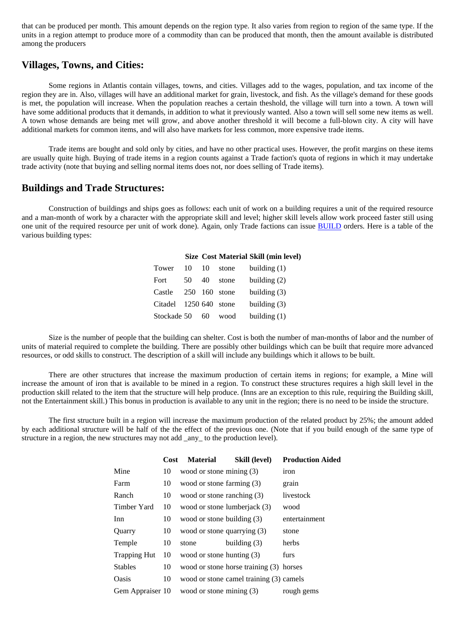that can be produced per month. This amount depends on the region type. It also varies from region to region of the same type. If the units in a region attempt to produce more of a commodity than can be produced that month, then the amount available is distributed among the producers

### <span id="page-12-0"></span>**Villages, Towns, and Cities:**

Some regions in Atlantis contain villages, towns, and cities. Villages add to the wages, population, and tax income of the region they are in. Also, villages will have an additional market for grain, livestock, and fish. As the village's demand for these goods is met, the population will increase. When the population reaches a certain theshold, the village will turn into a town. A town will have some additional products that it demands, in addition to what it previously wanted. Also a town will sell some new items as well. A town whose demands are being met will grow, and above another threshold it will become a full-blown city. A city will have additional markets for common items, and will also have markets for less common, more expensive trade items.

Trade items are bought and sold only by cities, and have no other practical uses. However, the profit margins on these items are usually quite high. Buying of trade items in a region counts against a Trade faction's quota of regions in which it may undertake trade activity (note that buying and selling normal items does not, nor does selling of Trade items).

#### <span id="page-12-1"></span>**Buildings and Trade Structures:**

<span id="page-12-2"></span>Construction of buildings and ships goes as follows: each unit of work on a building requires a unit of the required resource and a man-month of work by a character with the appropriate skill and level; higher skill levels allow work proceed faster still using one unit of the required resource per unit of work done). Again, only Trade factions can issue [BUILD](#page-23-2) orders. Here is a table of the various building types:

|                  |     |       |       | <b>Size Cost Material Skill (min level)</b> |
|------------------|-----|-------|-------|---------------------------------------------|
| Tower            | 10  | 10    | stone | building $(1)$                              |
| Fort             | 50  | 40    | stone | building $(2)$                              |
| Castle           | 250 | - 160 | stone | building $(3)$                              |
| Citadel 1250 640 |     |       | stone | building $(3)$                              |
| Stockade 50      |     | 60    | wood  | building $(1)$                              |

Size is the number of people that the building can shelter. Cost is both the number of man-months of labor and the number of units of material required to complete the building. There are possibly other buildings which can be built that require more advanced resources, or odd skills to construct. The description of a skill will include any buildings which it allows to be built.

There are other structures that increase the maximum production of certain items in regions; for example, a Mine will increase the amount of iron that is available to be mined in a region. To construct these structures requires a high skill level in the production skill related to the item that the structure will help produce. (Inns are an exception to this rule, requiring the Building skill, not the Entertainment skill.) This bonus in production is available to any unit in the region; there is no need to be inside the structure.

<span id="page-12-3"></span>The first structure built in a region will increase the maximum production of the related product by 25%; the amount added by each additional structure will be half of the the effect of the previous one. (Note that if you build enough of the same type of structure in a region, the new structures may not add \_any\_ to the production level).

|                     | <b>Cost</b> | <b>Material</b>             | Skill (level)                           | <b>Production Aided</b> |
|---------------------|-------------|-----------------------------|-----------------------------------------|-------------------------|
| Mine                | 10          | wood or stone mining (3)    |                                         | iron                    |
| Farm                | 10          | wood or stone farming (3)   |                                         | grain                   |
| Ranch               | 10          | wood or stone ranching (3)  |                                         | livestock               |
| Timber Yard         | 10          |                             | wood or stone lumberjack (3)            | wood                    |
| Inn                 | 10          | wood or stone building (3)  |                                         | entertainment           |
| Quarry              | 10          | wood or stone quarrying (3) |                                         | stone                   |
| Temple              | 10          | stone                       | building $(3)$                          | herbs                   |
| <b>Trapping Hut</b> | 10          | wood or stone hunting (3)   |                                         | furs                    |
| <b>Stables</b>      | 10          |                             | wood or stone horse training (3) horses |                         |
| Oasis               | 10          |                             | wood or stone camel training (3) camels |                         |
| Gem Appraiser 10    |             | wood or stone mining (3)    |                                         | rough gems              |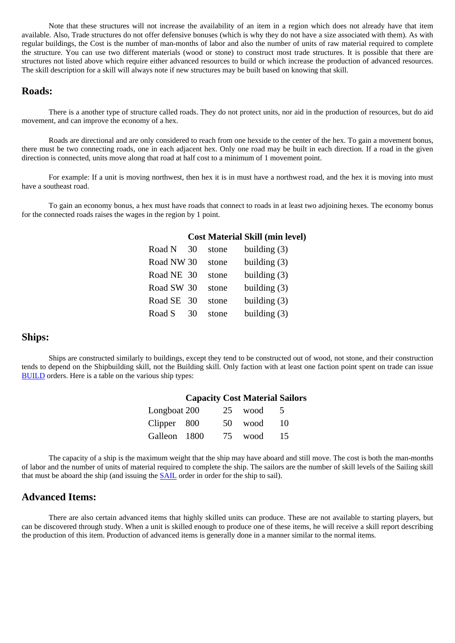Note that these structures will not increase the availability of an item in a region which does not already have that item available. Also, Trade structures do not offer defensive bonuses (which is why they do not have a size associated with them). As with regular buildings, the Cost is the number of man-months of labor and also the number of units of raw material required to complete the structure. You can use two different materials (wood or stone) to construct most trade structures. It is possible that there are structures not listed above which require either advanced resources to build or which increase the production of advanced resources. The skill description for a skill will always note if new structures may be built based on knowing that skill.

#### <span id="page-13-0"></span>**Roads:**

There is a another type of structure called roads. They do not protect units, nor aid in the production of resources, but do aid movement, and can improve the economy of a hex.

Roads are directional and are only considered to reach from one hexside to the center of the hex. To gain a movement bonus, there must be two connecting roads, one in each adjacent hex. Only one road may be built in each direction. If a road in the given direction is connected, units move along that road at half cost to a minimum of 1 movement point.

For example: If a unit is moving northwest, then hex it is in must have a northwest road, and the hex it is moving into must have a southeast road.

<span id="page-13-4"></span>To gain an economy bonus, a hex must have roads that connect to roads in at least two adjoining hexes. The economy bonus for the connected roads raises the wages in the region by 1 point.

#### **Cost Material Skill (min level)**

| Road N     | 30 | stone | building $(3)$ |
|------------|----|-------|----------------|
| Road NW 30 |    | stone | building $(3)$ |
| Road NE 30 |    | stone | building $(3)$ |
| Road SW 30 |    | stone | building $(3)$ |
| Road SE    | 30 | stone | building $(3)$ |
| Road S     | 30 | stone | building $(3)$ |

#### <span id="page-13-1"></span>**Ships:**

<span id="page-13-5"></span>Ships are constructed similarly to buildings, except they tend to be constructed out of wood, not stone, and their construction tends to depend on the Shipbuilding skill, not the Building skill. Only faction with at least one faction point spent on trade can issue [BUILD](#page-23-2) orders. Here is a table on the various ship types:

|              | <b>Capacity Cost Material Sailors</b> |    |      |          |
|--------------|---------------------------------------|----|------|----------|
| Longboat 200 |                                       | 25 | wood | $\Delta$ |
| Clipper 800  |                                       | 50 | wood | 10       |
| Galleon 1800 |                                       | 75 | wood | 15       |

The capacity of a ship is the maximum weight that the ship may have aboard and still move. The cost is both the man-months of labor and the number of units of material required to complete the ship. The sailors are the number of skill levels of the Sailing skill that must be aboard the ship (and issuing the [SAIL](#page-37-2) order in order for the ship to sail).

### <span id="page-13-2"></span>**Advanced Items:**

<span id="page-13-3"></span>There are also certain advanced items that highly skilled units can produce. These are not available to starting players, but can be discovered through study. When a unit is skilled enough to produce one of these items, he will receive a skill report describing the production of this item. Production of advanced items is generally done in a manner similar to the normal items.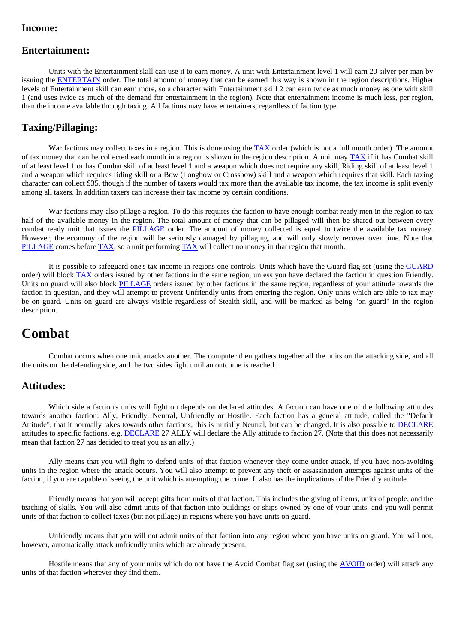### **Income:**

### <span id="page-14-0"></span>**Entertainment:**

Units with the Entertainment skill can use it to earn money. A unit with Entertainment level 1 will earn 20 silver per man by issuing the [ENTERTAIN](#page-27-2) order. The total amount of money that can be earned this way is shown in the region descriptions. Higher levels of Entertainment skill can earn more, so a character with Entertainment skill 2 can earn twice as much money as one with skill 1 (and uses twice as much of the demand for entertainment in the region). Note that entertainment income is much less, per region, than the income available through taxing. All factions may have entertainers, regardless of faction type.

### <span id="page-14-1"></span>**Taxing/Pillaging:**

War factions may collect taxes in a region. This is done using the [TAX](#page-40-1) order (which is not a full month order). The amount of tax money that can be collected each month in a region is shown in the region description. A unit may  $TAX$  if it has Combat skill of at least level 1 or has Combat skill of at least level 1 and a weapon which does not require any skill, Riding skill of at least level 1 and a weapon which requires riding skill or a Bow (Longbow or Crossbow) skill and a weapon which requires that skill. Each taxing character can collect \$35, though if the number of taxers would tax more than the available tax income, the tax income is split evenly among all taxers. In addition taxers can increase their tax income by certain conditions.

War factions may also pillage a region. To do this requires the faction to have enough combat ready men in the region to tax half of the available money in the region. The total amount of money that can be pillaged will then be shared out between every combat ready unit that issues the [PILLAGE](#page-36-0) order. The amount of money collected is equal to twice the available tax money. However, the economy of the region will be seriously damaged by pillaging, and will only slowly recover over time. Note that [PILLAGE](#page-36-0) comes before [TAX](#page-40-1), so a unit performing [TAX](#page-40-1) will collect no money in that region that month.

It is possible to safeguard one's tax income in regions one controls. Units which have the Guard flag set (using the [GUARD](#page-31-0) order) will block [TAX](#page-40-1) orders issued by other factions in the same region, unless you have declared the faction in question Friendly. Units on guard will also block [PILLAGE](#page-36-0) orders issued by other factions in the same region, regardless of your attitude towards the faction in question, and they will attempt to prevent Unfriendly units from entering the region. Only units which are able to tax may be on guard. Units on guard are always visible regardless of Stealth skill, and will be marked as being "on guard" in the region description.

### <span id="page-14-2"></span>**Combat**

Combat occurs when one unit attacks another. The computer then gathers together all the units on the attacking side, and all the units on the defending side, and the two sides fight until an outcome is reached.

#### <span id="page-14-3"></span>**Attitudes:**

Which side a faction's units will fight on depends on declared attitudes. A faction can have one of the following attitudes towards another faction: Ally, Friendly, Neutral, Unfriendly or Hostile. Each faction has a general attitude, called the "Default Attitude", that it normally takes towards other factions; this is initially Neutral, but can be changed. It is also possible to [DECLARE](#page-26-0) attitudes to specific factions, e.g. [DECLARE](#page-26-0) 27 ALLY will declare the Ally attitude to faction 27. (Note that this does not necessarily mean that faction 27 has decided to treat you as an ally.)

Ally means that you will fight to defend units of that faction whenever they come under attack, if you have non-avoiding units in the region where the attack occurs. You will also attempt to prevent any theft or assassination attempts against units of the faction, if you are capable of seeing the unit which is attempting the crime. It also has the implications of the Friendly attitude.

Friendly means that you will accept gifts from units of that faction. This includes the giving of items, units of people, and the teaching of skills. You will also admit units of that faction into buildings or ships owned by one of your units, and you will permit units of that faction to collect taxes (but not pillage) in regions where you have units on guard.

Unfriendly means that you will not admit units of that faction into any region where you have units on guard. You will not, however, automatically attack unfriendly units which are already present.

Hostile means that any of your units which do not have the Avoid Combat flag set (using the [AVOID](#page-23-0) order) will attack any units of that faction wherever they find them.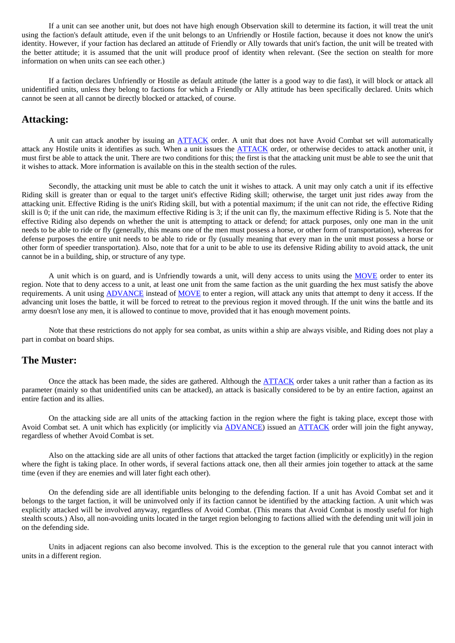If a unit can see another unit, but does not have high enough Observation skill to determine its faction, it will treat the unit using the faction's default attitude, even if the unit belongs to an Unfriendly or Hostile faction, because it does not know the unit's identity. However, if your faction has declared an attitude of Friendly or Ally towards that unit's faction, the unit will be treated with the better attitude; it is assumed that the unit will produce proof of identity when relevant. (See the section on stealth for more information on when units can see each other.)

If a faction declares Unfriendly or Hostile as default attitude (the latter is a good way to die fast), it will block or attack all unidentified units, unless they belong to factions for which a Friendly or Ally attitude has been specifically declared. Units which cannot be seen at all cannot be directly blocked or attacked, of course.

### <span id="page-15-0"></span>**Attacking:**

A unit can attack another by issuing an **ATTACK** order. A unit that does not have Avoid Combat set will automatically attack any Hostile units it identifies as such. When a unit issues the **ATTACK** order, or otherwise decides to attack another unit, it must first be able to attack the unit. There are two conditions for this; the first is that the attacking unit must be able to see the unit that it wishes to attack. More information is available on this in the stealth section of the rules.

Secondly, the attacking unit must be able to catch the unit it wishes to attack. A unit may only catch a unit if its effective Riding skill is greater than or equal to the target unit's effective Riding skill; otherwise, the target unit just rides away from the attacking unit. Effective Riding is the unit's Riding skill, but with a potential maximum; if the unit can not ride, the effective Riding skill is 0; if the unit can ride, the maximum effective Riding is 3; if the unit can fly, the maximum effective Riding is 5. Note that the effective Riding also depends on whether the unit is attempting to attack or defend; for attack purposes, only one man in the unit needs to be able to ride or fly (generally, this means one of the men must possess a horse, or other form of transportation), whereas for defense purposes the entire unit needs to be able to ride or fly (usually meaning that every man in the unit must possess a horse or other form of speedier transportation). Also, note that for a unit to be able to use its defensive Riding ability to avoid attack, the unit cannot be in a building, ship, or structure of any type.

A unit which is on guard, and is Unfriendly towards a unit, will deny access to units using the [MOVE](#page-32-2) order to enter its region. Note that to deny access to a unit, at least one unit from the same faction as the unit guarding the hex must satisfy the above requirements. A unit using [ADVANCE](#page-21-3) instead of [MOVE](#page-32-2) to enter a region, will attack any units that attempt to deny it access. If the advancing unit loses the battle, it will be forced to retreat to the previous region it moved through. If the unit wins the battle and its army doesn't lose any men, it is allowed to continue to move, provided that it has enough movement points.

Note that these restrictions do not apply for sea combat, as units within a ship are always visible, and Riding does not play a part in combat on board ships.

### <span id="page-15-1"></span>**The Muster:**

Once the attack has been made, the sides are gathered. Although the [ATTACK](#page-22-1) order takes a unit rather than a faction as its parameter (mainly so that unidentified units can be attacked), an attack is basically considered to be by an entire faction, against an entire faction and its allies.

On the attacking side are all units of the attacking faction in the region where the fight is taking place, except those with Avoid Combat set. A unit which has explicitly (or implicitly via [ADVANCE](#page-21-3)) issued an [ATTACK](#page-22-1) order will join the fight anyway, regardless of whether Avoid Combat is set.

Also on the attacking side are all units of other factions that attacked the target faction (implicitly or explicitly) in the region where the fight is taking place. In other words, if several factions attack one, then all their armies join together to attack at the same time (even if they are enemies and will later fight each other).

On the defending side are all identifiable units belonging to the defending faction. If a unit has Avoid Combat set and it belongs to the target faction, it will be uninvolved only if its faction cannot be identified by the attacking faction. A unit which was explicitly attacked will be involved anyway, regardless of Avoid Combat. (This means that Avoid Combat is mostly useful for high stealth scouts.) Also, all non-avoiding units located in the target region belonging to factions allied with the defending unit will join in on the defending side.

Units in adjacent regions can also become involved. This is the exception to the general rule that you cannot interact with units in a different region.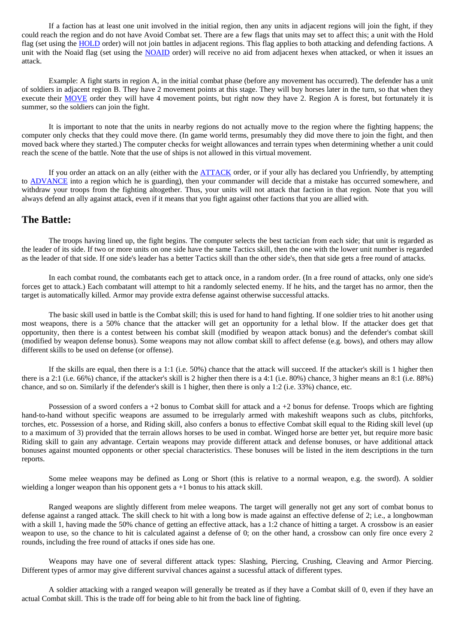If a faction has at least one unit involved in the initial region, then any units in adjacent regions will join the fight, if they could reach the region and do not have Avoid Combat set. There are a few flags that units may set to affect this; a unit with the Hold flag (set using the [HOLD](#page-32-0) order) will not join battles in adjacent regions. This flag applies to both attacking and defending factions. A unit with the Noaid flag (set using the [NOAID](#page-34-0) order) will receive no aid from adjacent hexes when attacked, or when it issues an attack.

Example: A fight starts in region A, in the initial combat phase (before any movement has occurred). The defender has a unit of soldiers in adjacent region B. They have 2 movement points at this stage. They will buy horses later in the turn, so that when they execute their [MOVE](#page-32-2) order they will have 4 movement points, but right now they have 2. Region A is forest, but fortunately it is summer, so the soldiers can join the fight.

It is important to note that the units in nearby regions do not actually move to the region where the fighting happens; the computer only checks that they could move there. (In game world terms, presumably they did move there to join the fight, and then moved back where they started.) The computer checks for weight allowances and terrain types when determining whether a unit could reach the scene of the battle. Note that the use of ships is not allowed in this virtual movement.

If you order an attack on an ally (either with the [ATTACK](#page-22-1) order, or if your ally has declared you Unfriendly, by attempting to [ADVANCE](#page-21-3) into a region which he is guarding), then your commander will decide that a mistake has occurred somewhere, and withdraw your troops from the fighting altogether. Thus, your units will not attack that faction in that region. Note that you will always defend an ally against attack, even if it means that you fight against other factions that you are allied with.

### <span id="page-16-0"></span>**The Battle:**

The troops having lined up, the fight begins. The computer selects the best tactician from each side; that unit is regarded as the leader of its side. If two or more units on one side have the same Tactics skill, then the one with the lower unit number is regarded as the leader of that side. If one side's leader has a better Tactics skill than the other side's, then that side gets a free round of attacks.

In each combat round, the combatants each get to attack once, in a random order. (In a free round of attacks, only one side's forces get to attack.) Each combatant will attempt to hit a randomly selected enemy. If he hits, and the target has no armor, then the target is automatically killed. Armor may provide extra defense against otherwise successful attacks.

The basic skill used in battle is the Combat skill; this is used for hand to hand fighting. If one soldier tries to hit another using most weapons, there is a 50% chance that the attacker will get an opportunity for a lethal blow. If the attacker does get that opportunity, then there is a contest between his combat skill (modified by weapon attack bonus) and the defender's combat skill (modified by weapon defense bonus). Some weapons may not allow combat skill to affect defense (e.g. bows), and others may allow different skills to be used on defense (or offense).

If the skills are equal, then there is a 1:1 (i.e. 50%) chance that the attack will succeed. If the attacker's skill is 1 higher then there is a 2:1 (i.e. 66%) chance, if the attacker's skill is 2 higher then there is a 4:1 (i.e. 80%) chance, 3 higher means an 8:1 (i.e. 88%) chance, and so on. Similarly if the defender's skill is 1 higher, then there is only a 1:2 (i.e. 33%) chance, etc.

Possession of a sword confers  $a + 2$  bonus to Combat skill for attack and  $a + 2$  bonus for defense. Troops which are fighting hand-to-hand without specific weapons are assumed to be irregularly armed with makeshift weapons such as clubs, pitchforks, torches, etc. Possession of a horse, and Riding skill, also confers a bonus to effective Combat skill equal to the Riding skill level (up to a maximum of 3) provided that the terrain allows horses to be used in combat. Winged horse are better yet, but require more basic Riding skill to gain any advantage. Certain weapons may provide different attack and defense bonuses, or have additional attack bonuses against mounted opponents or other special characteristics. These bonuses will be listed in the item descriptions in the turn reports.

Some melee weapons may be defined as Long or Short (this is relative to a normal weapon, e.g. the sword). A soldier wielding a longer weapon than his opponent gets a +1 bonus to his attack skill.

Ranged weapons are slightly different from melee weapons. The target will generally not get any sort of combat bonus to defense against a ranged attack. The skill check to hit with a long bow is made against an effective defense of 2; i.e., a longbowman with a skill 1, having made the 50% chance of getting an effective attack, has a 1:2 chance of hitting a target. A crossbow is an easier weapon to use, so the chance to hit is calculated against a defense of 0; on the other hand, a crossbow can only fire once every 2 rounds, including the free round of attacks if ones side has one.

Weapons may have one of several different attack types: Slashing, Piercing, Crushing, Cleaving and Armor Piercing. Different types of armor may give different survival chances against a sucessful attack of different types.

A soldier attacking with a ranged weapon will generally be treated as if they have a Combat skill of 0, even if they have an actual Combat skill. This is the trade off for being able to hit from the back line of fighting.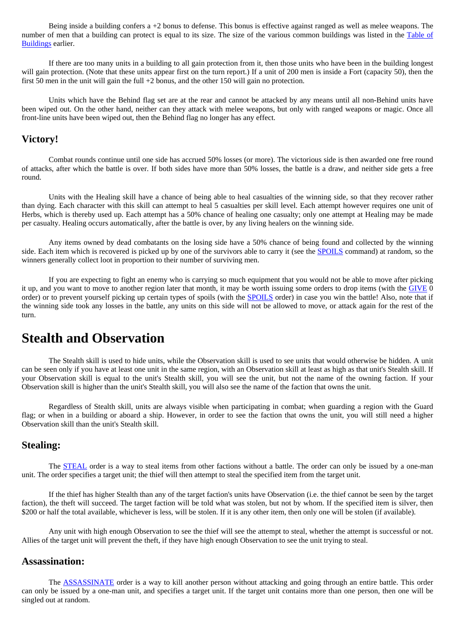Being inside a building confers a  $+2$  bonus to defense. This bonus is effective against ranged as well as melee weapons. The number of men that a building can protect is equal to its size. The size of the various common buildings was listed in the [Table of](#page-12-2)  [Buildings](#page-12-2) earlier.

If there are too many units in a building to all gain protection from it, then those units who have been in the building longest will gain protection. (Note that these units appear first on the turn report.) If a unit of 200 men is inside a Fort (capacity 50), then the first 50 men in the unit will gain the full +2 bonus, and the other 150 will gain no protection.

Units which have the Behind flag set are at the rear and cannot be attacked by any means until all non-Behind units have been wiped out. On the other hand, neither can they attack with melee weapons, but only with ranged weapons or magic. Once all front-line units have been wiped out, then the Behind flag no longer has any effect.

#### <span id="page-17-0"></span>**Victory!**

Combat rounds continue until one side has accrued 50% losses (or more). The victorious side is then awarded one free round of attacks, after which the battle is over. If both sides have more than 50% losses, the battle is a draw, and neither side gets a free round.

Units with the Healing skill have a chance of being able to heal casualties of the winning side, so that they recover rather than dying. Each character with this skill can attempt to heal 5 casualties per skill level. Each attempt however requires one unit of Herbs, which is thereby used up. Each attempt has a 50% chance of healing one casualty; only one attempt at Healing may be made per casualty. Healing occurs automatically, after the battle is over, by any living healers on the winning side.

Any items owned by dead combatants on the losing side have a 50% chance of being found and collected by the winning side. Each item which is recovered is picked up by one of the survivors able to carry it (see the [SPOILS](#page-39-0) command) at random, so the winners generally collect loot in proportion to their number of surviving men.

If you are expecting to fight an enemy who is carrying so much equipment that you would not be able to move after picking it up, and you want to move to another region later that month, it may be worth issuing some orders to drop items (with the [GIVE](#page-30-0) 0 order) or to prevent yourself picking up certain types of spoils (with the [SPOILS](#page-39-0) order) in case you win the battle! Also, note that if the winning side took any losses in the battle, any units on this side will not be allowed to move, or attack again for the rest of the turn.

### <span id="page-17-1"></span>**Stealth and Observation**

The Stealth skill is used to hide units, while the Observation skill is used to see units that would otherwise be hidden. A unit can be seen only if you have at least one unit in the same region, with an Observation skill at least as high as that unit's Stealth skill. If your Observation skill is equal to the unit's Stealth skill, you will see the unit, but not the name of the owning faction. If your Observation skill is higher than the unit's Stealth skill, you will also see the name of the faction that owns the unit.

Regardless of Stealth skill, units are always visible when participating in combat; when guarding a region with the Guard flag; or when in a building or aboard a ship. However, in order to see the faction that owns the unit, you will still need a higher Observation skill than the unit's Stealth skill.

#### <span id="page-17-2"></span>**Stealing:**

The **STEAL** order is a way to steal items from other factions without a battle. The order can only be issued by a one-man unit. The order specifies a target unit; the thief will then attempt to steal the specified item from the target unit.

If the thief has higher Stealth than any of the target faction's units have Observation (i.e. the thief cannot be seen by the target faction), the theft will succeed. The target faction will be told what was stolen, but not by whom. If the specified item is silver, then \$200 or half the total available, whichever is less, will be stolen. If it is any other item, then only one will be stolen (if available).

Any unit with high enough Observation to see the thief will see the attempt to steal, whether the attempt is successful or not. Allies of the target unit will prevent the theft, if they have high enough Observation to see the unit trying to steal.

#### <span id="page-17-3"></span>**Assassination:**

The [ASSASSINATE](#page-22-0) order is a way to kill another person without attacking and going through an entire battle. This order can only be issued by a one-man unit, and specifies a target unit. If the target unit contains more than one person, then one will be singled out at random.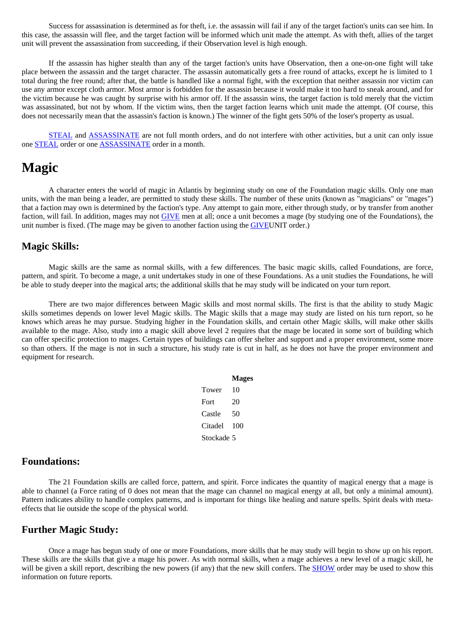Success for assassination is determined as for theft, i.e. the assassin will fail if any of the target faction's units can see him. In this case, the assassin will flee, and the target faction will be informed which unit made the attempt. As with theft, allies of the target unit will prevent the assassination from succeeding, if their Observation level is high enough.

If the assassin has higher stealth than any of the target faction's units have Observation, then a one-on-one fight will take place between the assassin and the target character. The assassin automatically gets a free round of attacks, except he is limited to 1 total during the free round; after that, the battle is handled like a normal fight, with the exception that neither assassin nor victim can use any armor except cloth armor. Most armor is forbidden for the assassin because it would make it too hard to sneak around, and for the victim because he was caught by surprise with his armor off. If the assassin wins, the target faction is told merely that the victim was assassinated, but not by whom. If the victim wins, then the target faction learns which unit made the attempt. (Of course, this does not necessarily mean that the assassin's faction is known.) The winner of the fight gets 50% of the loser's property as usual.

[STEAL](#page-39-1) and **ASSASSINATE** are not full month orders, and do not interfere with other activities, but a unit can only issue one [STEAL](#page-39-1) order or one [ASSASSINATE](#page-22-0) order in a month.

### <span id="page-18-0"></span>**Magic**

A character enters the world of magic in Atlantis by beginning study on one of the Foundation magic skills. Only one man units, with the man being a leader, are permitted to study these skills. The number of these units (known as "magicians" or "mages") that a faction may own is determined by the faction's type. Any attempt to gain more, either through study, or by transfer from another faction, will fail. In addition, mages may not [GIVE](#page-30-0) men at all; once a unit becomes a mage (by studying one of the Foundations), the unit number is fixed. (The mage may be given to another faction using the [GIVEU](#page-30-0)NIT order.)

### <span id="page-18-1"></span>**Magic Skills:**

Magic skills are the same as normal skills, with a few differences. The basic magic skills, called Foundations, are force, pattern, and spirit. To become a mage, a unit undertakes study in one of these Foundations. As a unit studies the Foundations, he will be able to study deeper into the magical arts; the additional skills that he may study will be indicated on your turn report.

<span id="page-18-5"></span>There are two major differences between Magic skills and most normal skills. The first is that the ability to study Magic skills sometimes depends on lower level Magic skills. The Magic skills that a mage may study are listed on his turn report, so he knows which areas he may pursue. Studying higher in the Foundation skills, and certain other Magic skills, will make other skills available to the mage. Also, study into a magic skill above level 2 requires that the mage be located in some sort of building which can offer specific protection to mages. Certain types of buildings can offer shelter and support and a proper environment, some more so than others. If the mage is not in such a structure, his study rate is cut in half, as he does not have the proper environment and equipment for research.

|            | <b>Mages</b> |
|------------|--------------|
| Tower      | 10           |
| Fort       | 20           |
| Castle     | 50           |
| Citadel    | 100          |
| Stockade 5 |              |

#### <span id="page-18-2"></span>**Foundations:**

The 21 Foundation skills are called force, pattern, and spirit. Force indicates the quantity of magical energy that a mage is able to channel (a Force rating of 0 does not mean that the mage can channel no magical energy at all, but only a minimal amount). Pattern indicates ability to handle complex patterns, and is important for things like healing and nature spells. Spirit deals with metaeffects that lie outside the scope of the physical world.

### <span id="page-18-3"></span>**Further Magic Study:**

<span id="page-18-4"></span>Once a mage has begun study of one or more Foundations, more skills that he may study will begin to show up on his report. These skills are the skills that give a mage his power. As with normal skills, when a mage achieves a new level of a magic skill, he will be given a skill report, describing the new powers (if any) that the new skill confers. The [SHOW](#page-38-1) order may be used to show this information on future reports.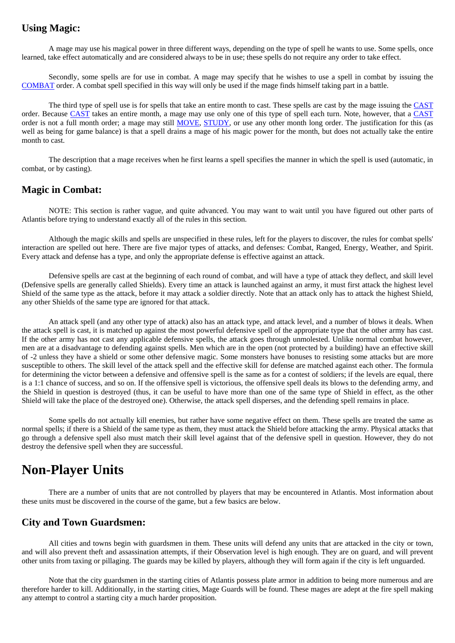### **Using Magic:**

A mage may use his magical power in three different ways, depending on the type of spell he wants to use. Some spells, once learned, take effect automatically and are considered always to be in use; these spells do not require any order to take effect.

Secondly, some spells are for use in combat. A mage may specify that he wishes to use a spell in combat by issuing the [COMBAT](#page-25-1) order. A combat spell specified in this way will only be used if the mage finds himself taking part in a battle.

The third type of spell use is for spells that take an entire month to cast. These spells are cast by the mage issuing the [CAST](#page-24-1) order. Because [CAST](#page-24-1) takes an entire month, a mage may use only one of this type of spell each turn. Note, however, that a [CAST](#page-24-1) order is not a full month order; a mage may still [MOVE,](#page-32-2) [STUDY](#page-40-0), or use any other month long order. The justification for this (as well as being for game balance) is that a spell drains a mage of his magic power for the month, but does not actually take the entire month to cast.

The description that a mage receives when he first learns a spell specifies the manner in which the spell is used (automatic, in combat, or by casting).

### <span id="page-19-0"></span>**Magic in Combat:**

NOTE: This section is rather vague, and quite advanced. You may want to wait until you have figured out other parts of Atlantis before trying to understand exactly all of the rules in this section.

Although the magic skills and spells are unspecified in these rules, left for the players to discover, the rules for combat spells' interaction are spelled out here. There are five major types of attacks, and defenses: Combat, Ranged, Energy, Weather, and Spirit. Every attack and defense has a type, and only the appropriate defense is effective against an attack.

Defensive spells are cast at the beginning of each round of combat, and will have a type of attack they deflect, and skill level (Defensive spells are generally called Shields). Every time an attack is launched against an army, it must first attack the highest level Shield of the same type as the attack, before it may attack a soldier directly. Note that an attack only has to attack the highest Shield, any other Shields of the same type are ignored for that attack.

An attack spell (and any other type of attack) also has an attack type, and attack level, and a number of blows it deals. When the attack spell is cast, it is matched up against the most powerful defensive spell of the appropriate type that the other army has cast. If the other army has not cast any applicable defensive spells, the attack goes through unmolested. Unlike normal combat however, men are at a disadvantage to defending against spells. Men which are in the open (not protected by a building) have an effective skill of -2 unless they have a shield or some other defensive magic. Some monsters have bonuses to resisting some attacks but are more susceptible to others. The skill level of the attack spell and the effective skill for defense are matched against each other. The formula for determining the victor between a defensive and offensive spell is the same as for a contest of soldiers; if the levels are equal, there is a 1:1 chance of success, and so on. If the offensive spell is victorious, the offensive spell deals its blows to the defending army, and the Shield in question is destroyed (thus, it can be useful to have more than one of the same type of Shield in effect, as the other Shield will take the place of the destroyed one). Otherwise, the attack spell disperses, and the defending spell remains in place.

Some spells do not actually kill enemies, but rather have some negative effect on them. These spells are treated the same as normal spells; if there is a Shield of the same type as them, they must attack the Shield before attacking the army. Physical attacks that go through a defensive spell also must match their skill level against that of the defensive spell in question. However, they do not destroy the defensive spell when they are successful.

### <span id="page-19-1"></span>**Non-Player Units**

There are a number of units that are not controlled by players that may be encountered in Atlantis. Most information about these units must be discovered in the course of the game, but a few basics are below.

### <span id="page-19-2"></span>**City and Town Guardsmen:**

All cities and towns begin with guardsmen in them. These units will defend any units that are attacked in the city or town, and will also prevent theft and assassination attempts, if their Observation level is high enough. They are on guard, and will prevent other units from taxing or pillaging. The guards may be killed by players, although they will form again if the city is left unguarded.

Note that the city guardsmen in the starting cities of Atlantis possess plate armor in addition to being more numerous and are therefore harder to kill. Additionally, in the starting cities, Mage Guards will be found. These mages are adept at the fire spell making any attempt to control a starting city a much harder proposition.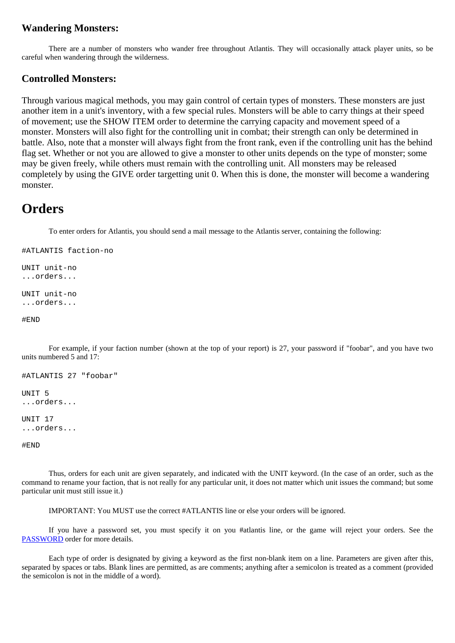### <span id="page-20-0"></span>**Wandering Monsters:**

There are a number of monsters who wander free throughout Atlantis. They will occasionally attack player units, so be careful when wandering through the wilderness.

### <span id="page-20-1"></span>**Controlled Monsters:**

Through various magical methods, you may gain control of certain types of monsters. These monsters are just another item in a unit's inventory, with a few special rules. Monsters will be able to carry things at their speed of movement; use the [SHOW](http://www.arno-saxena.de/atlantis/atl_rules.php#show) ITEM order to determine the carrying capacity and movement speed of a monster. Monsters will also fight for the controlling unit in combat; their strength can only be determined in battle. Also, note that a monster will always fight from the front rank, even if the controlling unit has the behind flag set. Whether or not you are allowed to give a monster to other units depends on the type of monster; some may be given freely, while others must remain with the controlling unit. All monsters may be released completely by using the [GIVE](http://www.arno-saxena.de/atlantis/atl_rules.php#give) order targetting unit 0. When this is done, the monster will become a wandering monster.

### <span id="page-20-2"></span>**Orders**

To enter orders for Atlantis, you should send a mail message to the Atlantis server, containing the following:

```
#ATLANTIS faction-no
```
UNIT unit-no ...orders... UNIT unit-no

```
...orders...
```
#END

For example, if your faction number (shown at the top of your report) is 27, your password if "foobar", and you have two units numbered 5 and 17:

```
#ATLANTIS 27 "foobar" 
UNIT 5 
...orders... 
UNIT 17 
...orders... 
#END
```
Thus, orders for each unit are given separately, and indicated with the UNIT keyword. (In the case of an order, such as the command to rename your faction, that is not really for any particular unit, it does not matter which unit issues the command; but some particular unit must still issue it.)

IMPORTANT: You MUST use the correct #ATLANTIS line or else your orders will be ignored.

If you have a password set, you must specify it on you #atlantis line, or the game will reject your orders. See the [PASSWORD](#page-35-0) order for more details.

Each type of order is designated by giving a keyword as the first non-blank item on a line. Parameters are given after this, separated by spaces or tabs. Blank lines are permitted, as are comments; anything after a semicolon is treated as a comment (provided the semicolon is not in the middle of a word).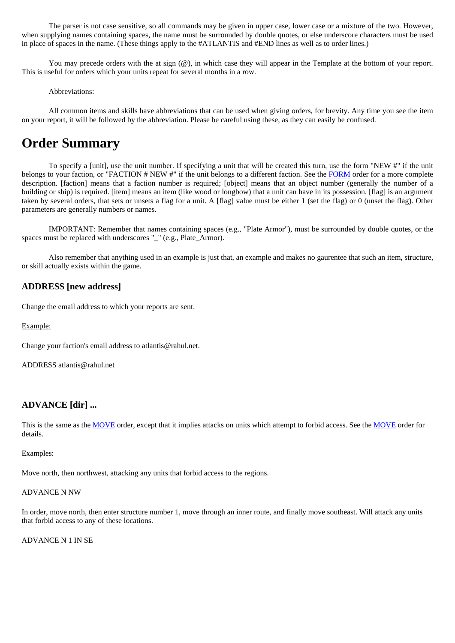The parser is not case sensitive, so all commands may be given in upper case, lower case or a mixture of the two. However, when supplying names containing spaces, the name must be surrounded by double quotes, or else underscore characters must be used in place of spaces in the name. (These things apply to the #ATLANTIS and #END lines as well as to order lines.)

You may precede orders with the at sign  $(\omega)$ , in which case they will appear in the Template at the bottom of your report. This is useful for orders which your units repeat for several months in a row.

Abbreviations:

<span id="page-21-0"></span>All common items and skills have abbreviations that can be used when giving orders, for brevity. Any time you see the item on your report, it will be followed by the abbreviation. Please be careful using these, as they can easily be confused.

## <span id="page-21-1"></span>**Order Summary**

To specify a [unit], use the unit number. If specifying a unit that will be created this turn, use the form "NEW #" if the unit belongs to your faction, or "FACTION # NEW #" if the unit belongs to a different faction. See the [FORM](#page-29-2) order for a more complete description. [faction] means that a faction number is required; [object] means that an object number (generally the number of a building or ship) is required. [item] means an item (like wood or longbow) that a unit can have in its possession. [flag] is an argument taken by several orders, that sets or unsets a flag for a unit. A [flag] value must be either 1 (set the flag) or 0 (unset the flag). Other parameters are generally numbers or names.

IMPORTANT: Remember that names containing spaces (e.g., "Plate Armor"), must be surrounded by double quotes, or the spaces must be replaced with underscores "\_" (e.g., Plate\_Armor).

Also remember that anything used in an example is just that, an example and makes no gaurentee that such an item, structure, or skill actually exists within the game.

### <span id="page-21-2"></span>**ADDRESS [new address]**

Change the email address to which your reports are sent.

Example:

Change your faction's email address to atlantis@rahul.net.

ADDRESS atlantis@rahul.net

### <span id="page-21-3"></span>**ADVANCE [dir] ...**

This is the same as the [MOVE](#page-32-2) order, except that it implies attacks on units which attempt to forbid access. See the [MOVE](#page-32-2) order for details.

#### Examples:

Move north, then northwest, attacking any units that forbid access to the regions.

#### ADVANCE N NW

In order, move north, then enter structure number 1, move through an inner route, and finally move southeast. Will attack any units that forbid access to any of these locations.

<span id="page-21-4"></span>ADVANCE N 1 IN SE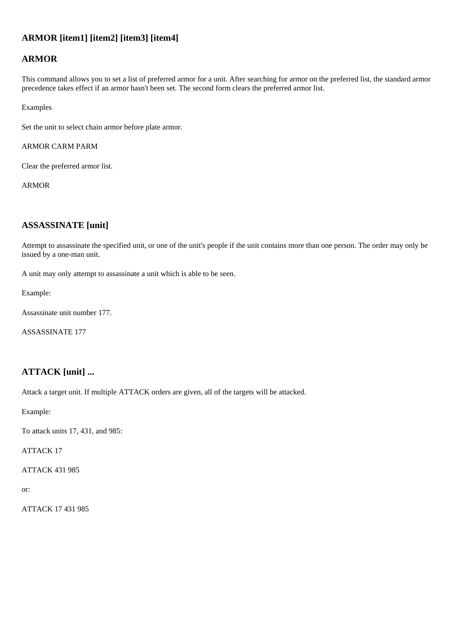### **ARMOR [item1] [item2] [item3] [item4]**

### **ARMOR**

This command allows you to set a list of preferred armor for a unit. After searching for armor on the preferred list, the standard armor precedence takes effect if an armor hasn't been set. The second form clears the preferred armor list.

Examples

Set the unit to select chain armor before plate armor.

ARMOR CARM PARM

Clear the preferred armor list.

ARMOR

### <span id="page-22-0"></span>**ASSASSINATE [unit]**

Attempt to assassinate the specified unit, or one of the unit's people if the unit contains more than one person. The order may only be issued by a one-man unit.

A unit may only attempt to assassinate a unit which is able to be seen.

Example:

Assassinate unit number 177.

ASSASSINATE 177

### <span id="page-22-1"></span>**ATTACK [unit] ...**

Attack a target unit. If multiple ATTACK orders are given, all of the targets will be attacked.

Example:

To attack units 17, 431, and 985:

ATTACK 17

ATTACK 431 985

or:

<span id="page-22-2"></span>ATTACK 17 431 985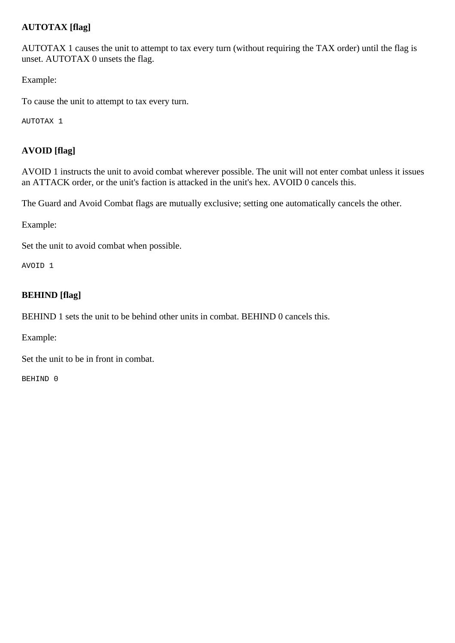### **AUTOTAX [flag]**

AUTOTAX 1 causes the unit to attempt to tax every turn (without requiring the TAX order) until the flag is unset. AUTOTAX 0 unsets the flag.

Example:

To cause the unit to attempt to tax every turn.

AUTOTAX 1

### <span id="page-23-0"></span>**AVOID [flag]**

AVOID 1 instructs the unit to avoid combat wherever possible. The unit will not enter combat unless it issues an ATTACK order, or the unit's faction is attacked in the unit's hex. AVOID 0 cancels this.

The Guard and Avoid Combat flags are mutually exclusive; setting one automatically cancels the other.

Example:

Set the unit to avoid combat when possible.

AVOID 1

### <span id="page-23-1"></span>**BEHIND [flag]**

BEHIND 1 sets the unit to be behind other units in combat. BEHIND 0 cancels this.

Example:

Set the unit to be in front in combat.

<span id="page-23-2"></span>BEHIND 0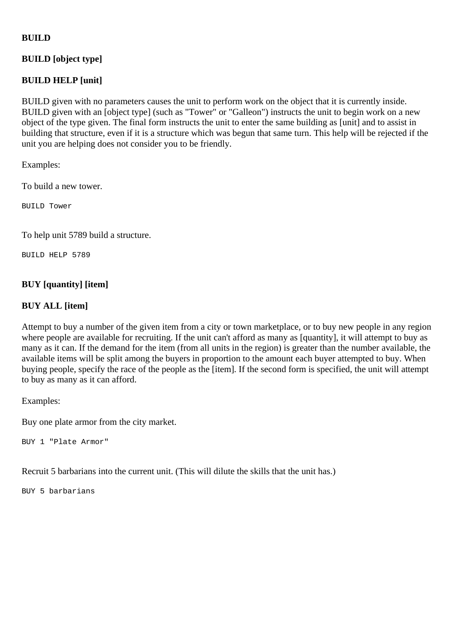### **BUILD**

### **BUILD [object type]**

### **BUILD HELP [unit]**

BUILD given with no parameters causes the unit to perform work on the object that it is currently inside. BUILD given with an [object type] (such as "Tower" or "Galleon") instructs the unit to begin work on a new object of the type given. The final form instructs the unit to enter the same building as [unit] and to assist in building that structure, even if it is a structure which was begun that same turn. This help will be rejected if the unit you are helping does not consider you to be friendly.

Examples:

To build a new tower.

BUILD Tower

To help unit 5789 build a structure.

BUILD HELP 5789

### <span id="page-24-0"></span>**BUY [quantity] [item]**

### **BUY ALL [item]**

Attempt to buy a number of the given item from a city or town marketplace, or to buy new people in any region where people are available for recruiting. If the unit can't afford as many as [quantity], it will attempt to buy as many as it can. If the demand for the item (from all units in the region) is greater than the number available, the available items will be split among the buyers in proportion to the amount each buyer attempted to buy. When buying people, specify the race of the people as the [item]. If the second form is specified, the unit will attempt to buy as many as it can afford.

Examples:

Buy one plate armor from the city market.

BUY 1 "Plate Armor"

Recruit 5 barbarians into the current unit. (This will dilute the skills that the unit has.)

<span id="page-24-1"></span>BUY 5 barbarians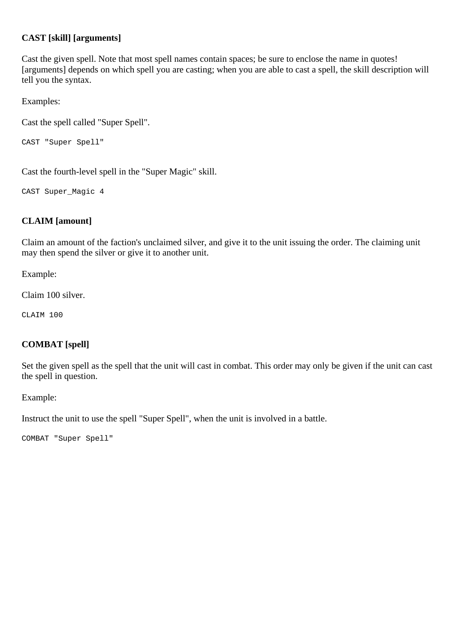### **CAST [skill] [arguments]**

Cast the given spell. Note that most spell names contain spaces; be sure to enclose the name in quotes! [arguments] depends on which spell you are casting; when you are able to cast a spell, the skill description will tell you the syntax.

Examples:

Cast the spell called "Super Spell".

```
CAST "Super Spell"
```
Cast the fourth-level spell in the "Super Magic" skill.

CAST Super\_Magic 4

### <span id="page-25-0"></span>**CLAIM [amount]**

Claim an amount of the faction's unclaimed silver, and give it to the unit issuing the order. The claiming unit may then spend the silver or give it to another unit.

Example:

Claim 100 silver.

CLAIM 100

### <span id="page-25-1"></span>**COMBAT [spell]**

Set the given spell as the spell that the unit will cast in combat. This order may only be given if the unit can cast the spell in question.

Example:

Instruct the unit to use the spell "Super Spell", when the unit is involved in a battle.

<span id="page-25-2"></span>COMBAT "Super Spell"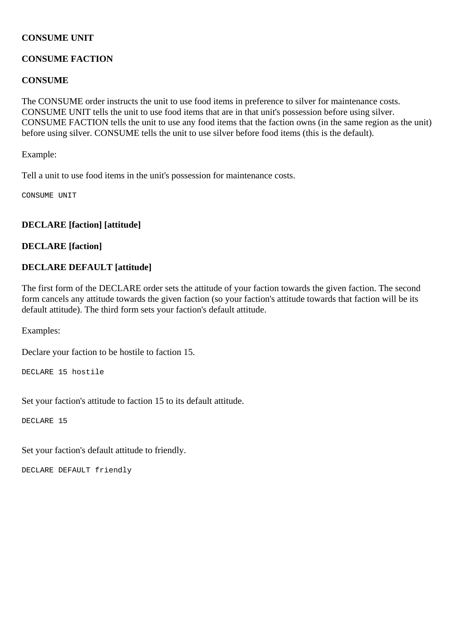### **CONSUME UNIT**

### **CONSUME FACTION**

### <span id="page-26-2"></span>**CONSUME**

The CONSUME order instructs the unit to use food items in preference to silver for maintenance costs. CONSUME UNIT tells the unit to use food items that are in that unit's possession before using silver. CONSUME FACTION tells the unit to use any food items that the faction owns (in the same region as the unit) before using silver. CONSUME tells the unit to use silver before food items (this is the default).

Example:

Tell a unit to use food items in the unit's possession for maintenance costs.

CONSUME UNIT

### <span id="page-26-0"></span>**DECLARE [faction] [attitude]**

### **DECLARE [faction]**

### **DECLARE DEFAULT [attitude]**

The first form of the DECLARE order sets the attitude of your faction towards the given faction. The second form cancels any attitude towards the given faction (so your faction's attitude towards that faction will be its default attitude). The third form sets your faction's default attitude.

Examples:

Declare your faction to be hostile to faction 15.

DECLARE 15 hostile

Set your faction's attitude to faction 15 to its default attitude.

DECLARE 15

Set your faction's default attitude to friendly.

<span id="page-26-1"></span>DECLARE DEFAULT friendly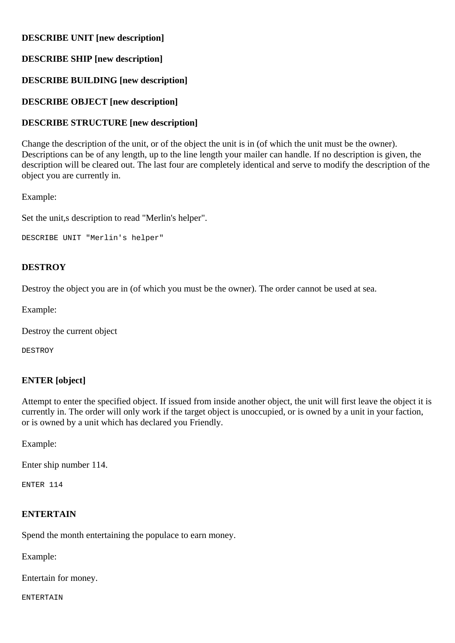### **DESCRIBE UNIT [new description]**

### **DESCRIBE SHIP [new description]**

### **DESCRIBE BUILDING [new description]**

### **DESCRIBE OBJECT [new description]**

### **DESCRIBE STRUCTURE [new description]**

Change the description of the unit, or of the object the unit is in (of which the unit must be the owner). Descriptions can be of any length, up to the line length your mailer can handle. If no description is given, the description will be cleared out. The last four are completely identical and serve to modify the description of the object you are currently in.

### Example:

Set the unit,s description to read "Merlin's helper".

```
DESCRIBE UNIT "Merlin's helper"
```
### <span id="page-27-0"></span>**DESTROY**

Destroy the object you are in (of which you must be the owner). The order cannot be used at sea.

Example:

Destroy the current object

DESTROY

### <span id="page-27-1"></span>**ENTER [object]**

Attempt to enter the specified object. If issued from inside another object, the unit will first leave the object it is currently in. The order will only work if the target object is unoccupied, or is owned by a unit in your faction, or is owned by a unit which has declared you Friendly.

Example:

Enter ship number 114.

ENTER 114

### <span id="page-27-2"></span>**ENTERTAIN**

Spend the month entertaining the populace to earn money.

Example:

Entertain for money.

ENTERTAIN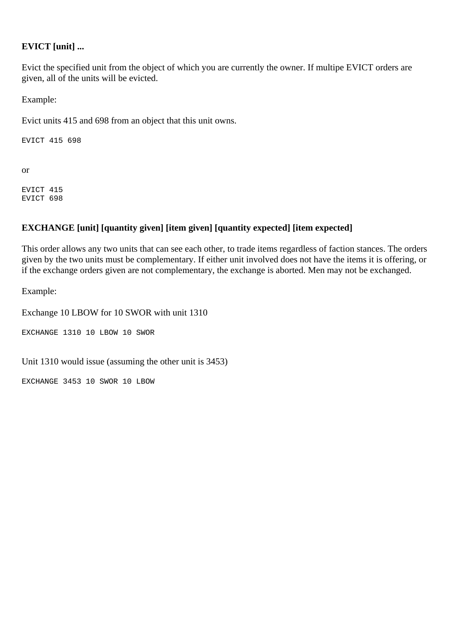### <span id="page-28-0"></span>**EVICT [unit] ...**

Evict the specified unit from the object of which you are currently the owner. If multipe EVICT orders are given, all of the units will be evicted.

Example:

Evict units 415 and 698 from an object that this unit owns.

EVICT 415 698

or

EVICT 415 EVICT 698

### <span id="page-28-1"></span>**EXCHANGE [unit] [quantity given] [item given] [quantity expected] [item expected]**

This order allows any two units that can see each other, to trade items regardless of faction stances. The orders given by the two units must be complementary. If either unit involved does not have the items it is offering, or if the exchange orders given are not complementary, the exchange is aborted. Men may not be exchanged.

Example:

Exchange 10 LBOW for 10 SWOR with unit 1310

EXCHANGE 1310 10 LBOW 10 SWOR

Unit 1310 would issue (assuming the other unit is 3453)

<span id="page-28-2"></span>EXCHANGE 3453 10 SWOR 10 LBOW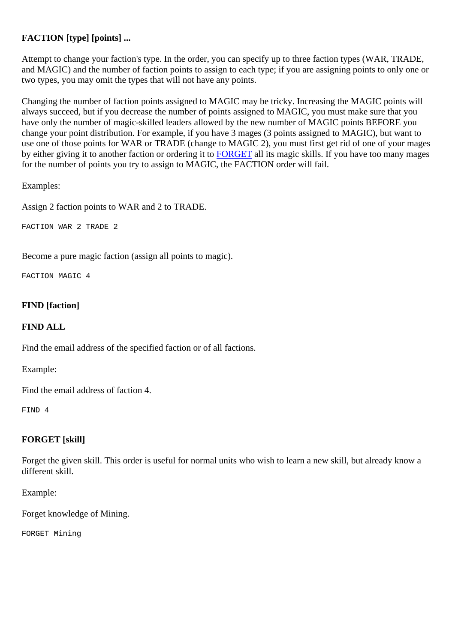### **FACTION [type] [points] ...**

Attempt to change your faction's type. In the order, you can specify up to three faction types (WAR, TRADE, and MAGIC) and the number of faction points to assign to each type; if you are assigning points to only one or two types, you may omit the types that will not have any points.

Changing the number of faction points assigned to MAGIC may be tricky. Increasing the MAGIC points will always succeed, but if you decrease the number of points assigned to MAGIC, you must make sure that you have only the number of magic-skilled leaders allowed by the new number of MAGIC points BEFORE you change your point distribution. For example, if you have 3 mages (3 points assigned to MAGIC), but want to use one of those points for WAR or TRADE (change to MAGIC 2), you must first get rid of one of your mages by either giving it to another faction or ordering it to [FORGET](#page-29-1) all its magic skills. If you have too many mages for the number of points you try to assign to MAGIC, the FACTION order will fail.

Examples:

Assign 2 faction points to WAR and 2 to TRADE.

FACTION WAR 2 TRADE 2

Become a pure magic faction (assign all points to magic).

FACTION MAGIC 4

### <span id="page-29-0"></span>**FIND [faction]**

### **FIND ALL**

Find the email address of the specified faction or of all factions.

Example:

Find the email address of faction 4.

FIND 4

### <span id="page-29-1"></span>**FORGET [skill]**

Forget the given skill. This order is useful for normal units who wish to learn a new skill, but already know a different skill.

Example:

Forget knowledge of Mining.

<span id="page-29-2"></span>FORGET Mining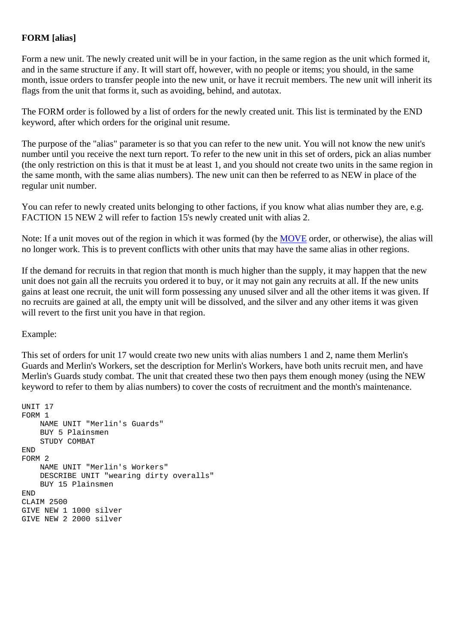### **FORM [alias]**

Form a new unit. The newly created unit will be in your faction, in the same region as the unit which formed it, and in the same structure if any. It will start off, however, with no people or items; you should, in the same month, issue orders to transfer people into the new unit, or have it recruit members. The new unit will inherit its flags from the unit that forms it, such as avoiding, behind, and autotax.

The FORM order is followed by a list of orders for the newly created unit. This list is terminated by the END keyword, after which orders for the original unit resume.

The purpose of the "alias" parameter is so that you can refer to the new unit. You will not know the new unit's number until you receive the next turn report. To refer to the new unit in this set of orders, pick an alias number (the only restriction on this is that it must be at least 1, and you should not create two units in the same region in the same month, with the same alias numbers). The new unit can then be referred to as NEW in place of the regular unit number.

You can refer to newly created units belonging to other factions, if you know what alias number they are, e.g. FACTION 15 NEW 2 will refer to faction 15's newly created unit with alias 2.

Note: If a unit moves out of the region in which it was formed (by the [MOVE](#page-32-2) order, or otherwise), the alias will no longer work. This is to prevent conflicts with other units that may have the same alias in other regions.

If the demand for recruits in that region that month is much higher than the supply, it may happen that the new unit does not gain all the recruits you ordered it to buy, or it may not gain any recruits at all. If the new units gains at least one recruit, the unit will form possessing any unused silver and all the other items it was given. If no recruits are gained at all, the empty unit will be dissolved, and the silver and any other items it was given will revert to the first unit you have in that region.

Example:

This set of orders for unit 17 would create two new units with alias numbers 1 and 2, name them Merlin's Guards and Merlin's Workers, set the description for Merlin's Workers, have both units recruit men, and have Merlin's Guards study combat. The unit that created these two then pays them enough money (using the NEW keyword to refer to them by alias numbers) to cover the costs of recruitment and the month's maintenance.

```
UNIT 17 
FORM 1 
     NAME UNIT "Merlin's Guards" 
     BUY 5 Plainsmen 
     STUDY COMBAT 
END 
FORM 2 
     NAME UNIT "Merlin's Workers" 
     DESCRIBE UNIT "wearing dirty overalls" 
     BUY 15 Plainsmen 
END 
CLAIM 2500 
GIVE NEW 1 1000 silver 
GIVE NEW 2 2000 silver
```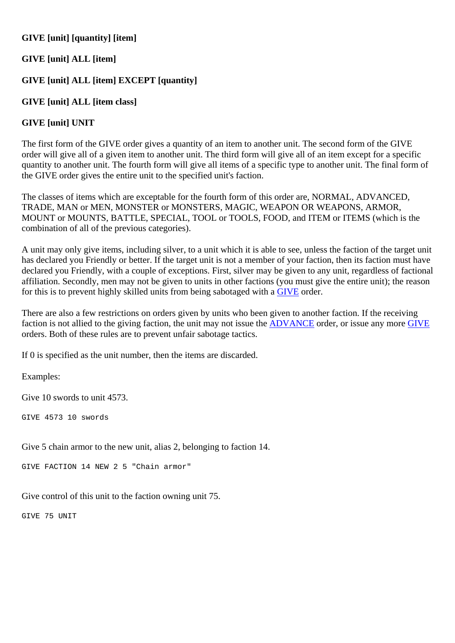### **GIVE [unit] [quantity] [item]**

### **GIVE [unit] ALL [item]**

### **GIVE [unit] ALL [item] EXCEPT [quantity]**

### **GIVE [unit] ALL [item class]**

### **GIVE [unit] UNIT**

The first form of the GIVE order gives a quantity of an item to another unit. The second form of the GIVE order will give all of a given item to another unit. The third form will give all of an item except for a specific quantity to another unit. The fourth form will give all items of a specific type to another unit. The final form of the GIVE order gives the entire unit to the specified unit's faction.

The classes of items which are exceptable for the fourth form of this order are, NORMAL, ADVANCED, TRADE, MAN or MEN, MONSTER or MONSTERS, MAGIC, WEAPON OR WEAPONS, ARMOR, MOUNT or MOUNTS, BATTLE, SPECIAL, TOOL or TOOLS, FOOD, and ITEM or ITEMS (which is the combination of all of the previous categories).

A unit may only give items, including silver, to a unit which it is able to see, unless the faction of the target unit has declared you Friendly or better. If the target unit is not a member of your faction, then its faction must have declared you Friendly, with a couple of exceptions. First, silver may be given to any unit, regardless of factional affiliation. Secondly, men may not be given to units in other factions (you must give the entire unit); the reason for this is to prevent highly skilled units from being sabotaged with a [GIVE](#page-30-0) order.

There are also a few restrictions on orders given by units who been given to another faction. If the receiving faction is not allied to the giving faction, the unit may not issue the [ADVANCE](#page-21-3) order, or issue any more [GIVE](#page-30-0) orders. Both of these rules are to prevent unfair sabotage tactics.

If 0 is specified as the unit number, then the items are discarded.

Examples:

Give 10 swords to unit 4573.

GIVE 4573 10 swords

Give 5 chain armor to the new unit, alias 2, belonging to faction 14.

GIVE FACTION 14 NEW 2 5 "Chain armor"

Give control of this unit to the faction owning unit 75.

<span id="page-31-0"></span>GIVE 75 UNIT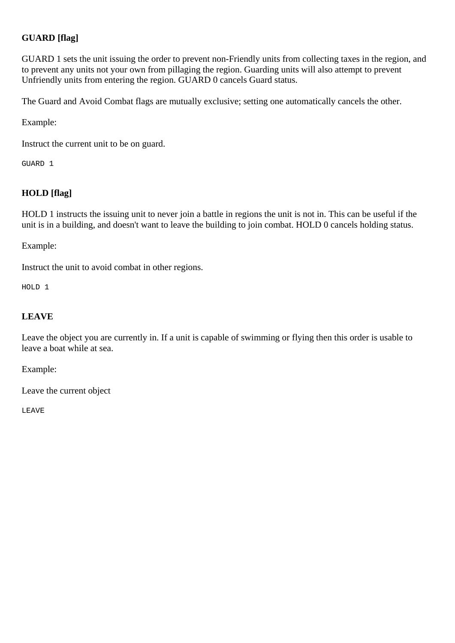### **GUARD [flag]**

GUARD 1 sets the unit issuing the order to prevent non-Friendly units from collecting taxes in the region, and to prevent any units not your own from pillaging the region. Guarding units will also attempt to prevent Unfriendly units from entering the region. GUARD 0 cancels Guard status.

The Guard and Avoid Combat flags are mutually exclusive; setting one automatically cancels the other.

Example:

Instruct the current unit to be on guard.

GUARD 1

### <span id="page-32-0"></span>**HOLD [flag]**

HOLD 1 instructs the issuing unit to never join a battle in regions the unit is not in. This can be useful if the unit is in a building, and doesn't want to leave the building to join combat. HOLD 0 cancels holding status.

Example:

Instruct the unit to avoid combat in other regions.

HOLD 1

### <span id="page-32-1"></span>**LEAVE**

Leave the object you are currently in. If a unit is capable of swimming or flying then this order is usable to leave a boat while at sea.

Example:

Leave the current object

<span id="page-32-2"></span>LEAVE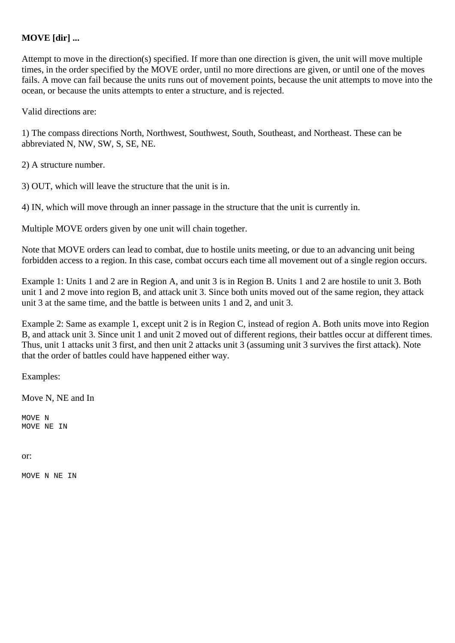### **MOVE [dir] ...**

Attempt to move in the direction(s) specified. If more than one direction is given, the unit will move multiple times, in the order specified by the MOVE order, until no more directions are given, or until one of the moves fails. A move can fail because the units runs out of movement points, because the unit attempts to move into the ocean, or because the units attempts to enter a structure, and is rejected.

Valid directions are:

1) The compass directions North, Northwest, Southwest, South, Southeast, and Northeast. These can be abbreviated N, NW, SW, S, SE, NE.

2) A structure number.

3) OUT, which will leave the structure that the unit is in.

4) IN, which will move through an inner passage in the structure that the unit is currently in.

Multiple MOVE orders given by one unit will chain together.

Note that MOVE orders can lead to combat, due to hostile units meeting, or due to an advancing unit being forbidden access to a region. In this case, combat occurs each time all movement out of a single region occurs.

Example 1: Units 1 and 2 are in Region A, and unit 3 is in Region B. Units 1 and 2 are hostile to unit 3. Both unit 1 and 2 move into region B, and attack unit 3. Since both units moved out of the same region, they attack unit 3 at the same time, and the battle is between units 1 and 2, and unit 3.

Example 2: Same as example 1, except unit 2 is in Region C, instead of region A. Both units move into Region B, and attack unit 3. Since unit 1 and unit 2 moved out of different regions, their battles occur at different times. Thus, unit 1 attacks unit 3 first, and then unit 2 attacks unit 3 (assuming unit 3 survives the first attack). Note that the order of battles could have happened either way.

Examples:

Move N, NE and In

MOVE N MOVE NE IN

#### or:

<span id="page-33-0"></span>MOVE N NE IN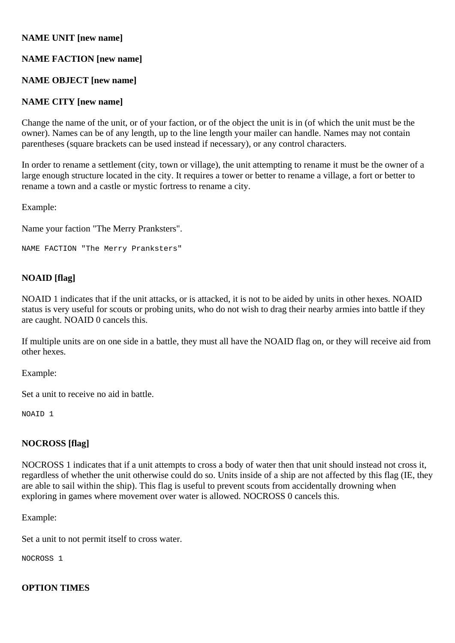### **NAME UNIT [new name]**

### **NAME FACTION [new name]**

### **NAME OBJECT [new name]**

### **NAME CITY [new name]**

Change the name of the unit, or of your faction, or of the object the unit is in (of which the unit must be the owner). Names can be of any length, up to the line length your mailer can handle. Names may not contain parentheses (square brackets can be used instead if necessary), or any control characters.

In order to rename a settlement (city, town or village), the unit attempting to rename it must be the owner of a large enough structure located in the city. It requires a tower or better to rename a village, a fort or better to rename a town and a castle or mystic fortress to rename a city.

Example:

Name your faction "The Merry Pranksters".

```
NAME FACTION "The Merry Pranksters"
```
### <span id="page-34-0"></span>**NOAID [flag]**

NOAID 1 indicates that if the unit attacks, or is attacked, it is not to be aided by units in other hexes. NOAID status is very useful for scouts or probing units, who do not wish to drag their nearby armies into battle if they are caught. NOAID 0 cancels this.

If multiple units are on one side in a battle, they must all have the NOAID flag on, or they will receive aid from other hexes.

Example:

Set a unit to receive no aid in battle.

NOAID 1

### <span id="page-34-1"></span>**NOCROSS [flag]**

NOCROSS 1 indicates that if a unit attempts to cross a body of water then that unit should instead not cross it, regardless of whether the unit otherwise could do so. Units inside of a ship are not affected by this flag (IE, they are able to sail within the ship). This flag is useful to prevent scouts from accidentally drowning when exploring in games where movement over water is allowed. NOCROSS 0 cancels this.

Example:

Set a unit to not permit itself to cross water.

NOCROSS 1

### <span id="page-34-2"></span>**OPTION TIMES**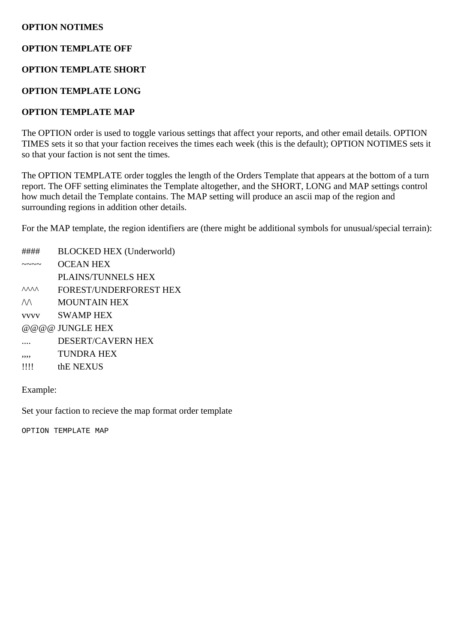### **OPTION NOTIMES**

### **OPTION TEMPLATE OFF**

### **OPTION TEMPLATE SHORT**

### **OPTION TEMPLATE LONG**

### **OPTION TEMPLATE MAP**

The OPTION order is used to toggle various settings that affect your reports, and other email details. OPTION TIMES sets it so that your faction receives the times each week (this is the default); OPTION NOTIMES sets it so that your faction is not sent the times.

The OPTION TEMPLATE order toggles the length of the Orders Template that appears at the bottom of a turn report. The OFF setting eliminates the Template altogether, and the SHORT, LONG and MAP settings control how much detail the Template contains. The MAP setting will produce an ascii map of the region and surrounding regions in addition other details.

For the MAP template, the region identifiers are (there might be additional symbols for unusual/special terrain):

- #### BLOCKED HEX (Underworld)
- $\sim$   $\sim$   $\sim$  OCEAN HEX
- PLAINS/TUNNELS HEX
- ^^^^ FOREST/UNDERFOREST HEX
- $\land\land$  MOUNTAIN HEX
- vvvv SWAMP HEX
- @@@@ JUNGLE HEX
- .... DESERT/CAVERN HEX
- ,,,, TUNDRA HEX
- !!!! thE NEXUS

Example:

Set your faction to recieve the map format order template

<span id="page-35-0"></span>OPTION TEMPLATE MAP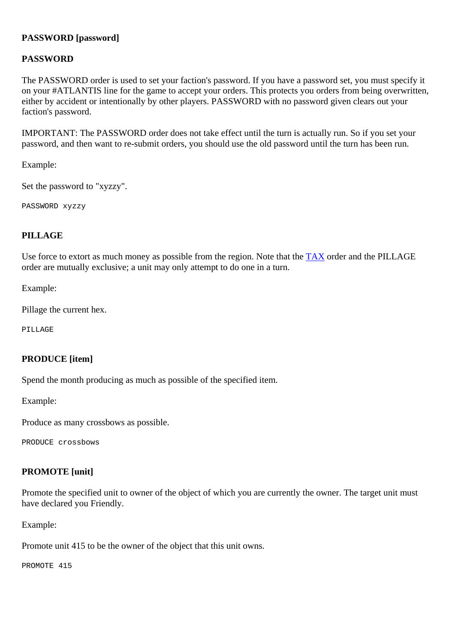### **PASSWORD [password]**

### **PASSWORD**

The PASSWORD order is used to set your faction's password. If you have a password set, you must specify it on your #ATLANTIS line for the game to accept your orders. This protects you orders from being overwritten, either by accident or intentionally by other players. PASSWORD with no password given clears out your faction's password.

IMPORTANT: The PASSWORD order does not take effect until the turn is actually run. So if you set your password, and then want to re-submit orders, you should use the old password until the turn has been run.

Example:

Set the password to "xyzzy".

PASSWORD xyzzy

### <span id="page-36-0"></span>**PILLAGE**

Use force to extort as much money as possible from the region. Note that the [TAX](http://www.arno-saxena.de/atlantis/atl_rules.php#tax) order and the PILLAGE order are mutually exclusive; a unit may only attempt to do one in a turn.

Example:

Pillage the current hex.

PILLAGE

### <span id="page-36-1"></span>**PRODUCE [item]**

Spend the month producing as much as possible of the specified item.

Example:

Produce as many crossbows as possible.

PRODUCE crossbows

### <span id="page-36-2"></span>**PROMOTE [unit]**

Promote the specified unit to owner of the object of which you are currently the owner. The target unit must have declared you Friendly.

Example:

Promote unit 415 to be the owner of the object that this unit owns.

<span id="page-36-3"></span>PROMOTE 415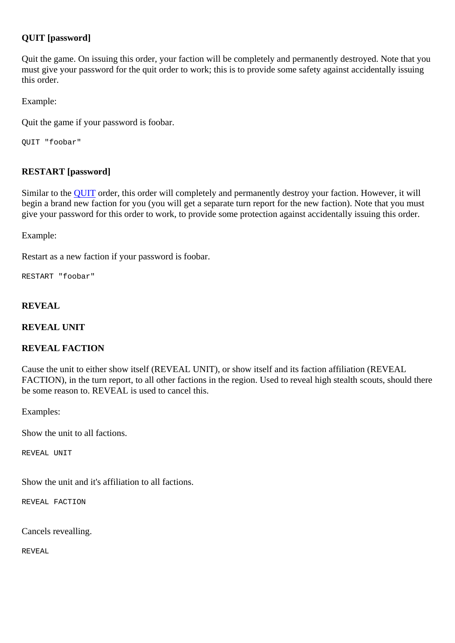### **QUIT [password]**

Quit the game. On issuing this order, your faction will be completely and permanently destroyed. Note that you must give your password for the quit order to work; this is to provide some safety against accidentally issuing this order.

Example:

Quit the game if your password is foobar.

QUIT "foobar"

### <span id="page-37-0"></span>**RESTART [password]**

Similar to the [QUIT](#page-36-3) order, this order will completely and permanently destroy your faction. However, it will begin a brand new faction for you (you will get a separate turn report for the new faction). Note that you must give your password for this order to work, to provide some protection against accidentally issuing this order.

Example:

Restart as a new faction if your password is foobar.

RESTART "foobar"

### <span id="page-37-1"></span>**REVEAL**

**REVEAL UNIT** 

### **REVEAL FACTION**

Cause the unit to either show itself (REVEAL UNIT), or show itself and its faction affiliation (REVEAL FACTION), in the turn report, to all other factions in the region. Used to reveal high stealth scouts, should there be some reason to. REVEAL is used to cancel this.

Examples:

Show the unit to all factions.

REVEAL UNIT

Show the unit and it's affiliation to all factions.

REVEAL FACTION

Cancels revealling.

<span id="page-37-2"></span>REVEAL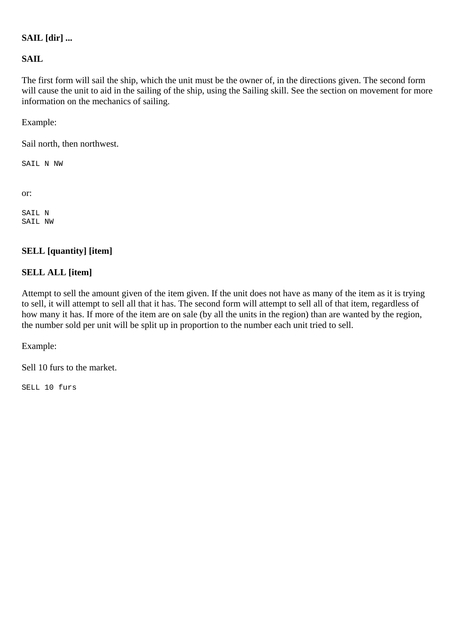### **SAIL [dir] ...**

### **SAIL**

The first form will sail the ship, which the unit must be the owner of, in the directions given. The second form will cause the unit to aid in the sailing of the ship, using the Sailing skill. See the section on movement for more information on the mechanics of sailing.

Example:

Sail north, then northwest.

SAIL N NW

or:

SAIL N SAIL NW

### <span id="page-38-0"></span>**SELL [quantity] [item]**

### **SELL ALL [item]**

Attempt to sell the amount given of the item given. If the unit does not have as many of the item as it is trying to sell, it will attempt to sell all that it has. The second form will attempt to sell all of that item, regardless of how many it has. If more of the item are on sale (by all the units in the region) than are wanted by the region, the number sold per unit will be split up in proportion to the number each unit tried to sell.

Example:

Sell 10 furs to the market.

<span id="page-38-1"></span>SELL 10 furs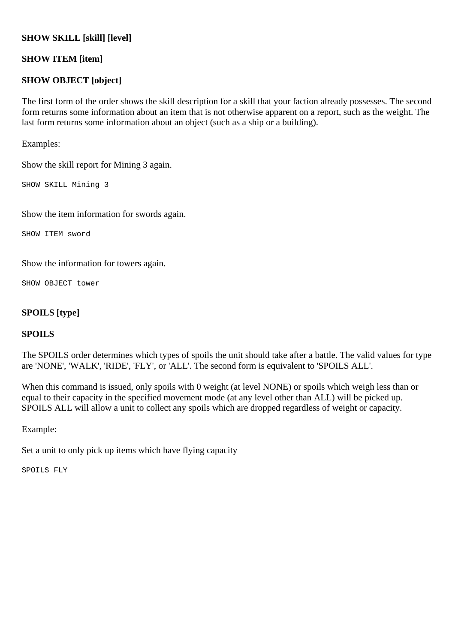### **SHOW SKILL [skill] [level]**

### **SHOW ITEM [item]**

### **SHOW OBJECT [object]**

The first form of the order shows the skill description for a skill that your faction already possesses. The second form returns some information about an item that is not otherwise apparent on a report, such as the weight. The last form returns some information about an object (such as a ship or a building).

Examples:

Show the skill report for Mining 3 again.

SHOW SKILL Mining 3

Show the item information for swords again.

SHOW ITEM sword

Show the information for towers again.

SHOW OBJECT tower

### <span id="page-39-0"></span>**SPOILS [type]**

### **SPOILS**

The SPOILS order determines which types of spoils the unit should take after a battle. The valid values for type are 'NONE', 'WALK', 'RIDE', 'FLY', or 'ALL'. The second form is equivalent to 'SPOILS ALL'.

When this command is issued, only spoils with 0 weight (at level NONE) or spoils which weigh less than or equal to their capacity in the specified movement mode (at any level other than ALL) will be picked up. SPOILS ALL will allow a unit to collect any spoils which are dropped regardless of weight or capacity.

Example:

Set a unit to only pick up items which have flying capacity

<span id="page-39-1"></span>SPOILS FLY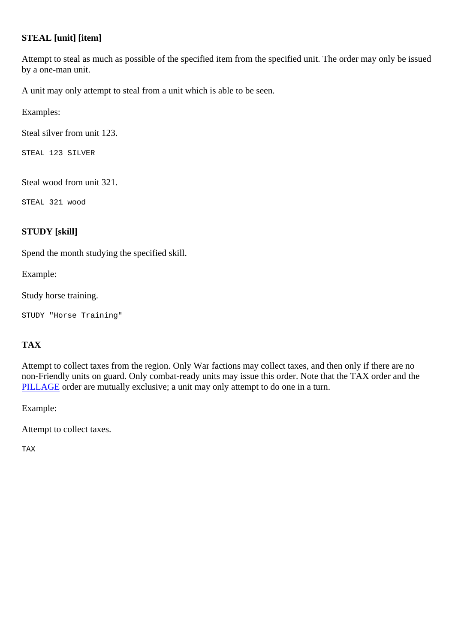### **STEAL [unit] [item]**

Attempt to steal as much as possible of the specified item from the specified unit. The order may only be issued by a one-man unit.

A unit may only attempt to steal from a unit which is able to be seen.

Examples:

Steal silver from unit 123.

STEAL 123 SILVER

Steal wood from unit 321.

STEAL 321 wood

### <span id="page-40-0"></span>**STUDY [skill]**

Spend the month studying the specified skill.

Example:

Study horse training.

STUDY "Horse Training"

### <span id="page-40-1"></span>**TAX**

Attempt to collect taxes from the region. Only War factions may collect taxes, and then only if there are no non-Friendly units on guard. Only combat-ready units may issue this order. Note that the TAX order and the [PILLAGE](#page-36-0) order are mutually exclusive; a unit may only attempt to do one in a turn.

Example:

Attempt to collect taxes.

<span id="page-40-2"></span>TAX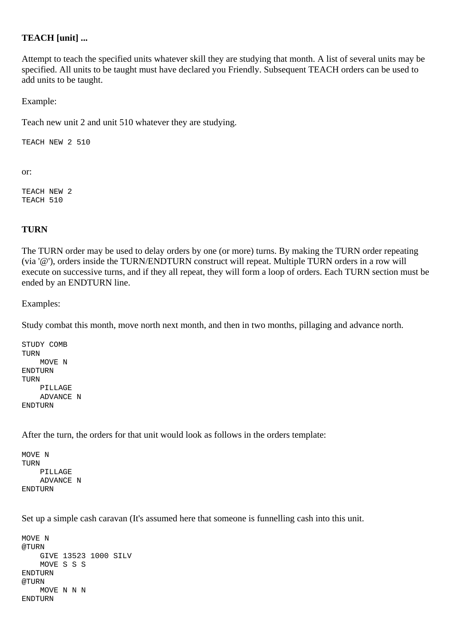### **TEACH [unit] ...**

Attempt to teach the specified units whatever skill they are studying that month. A list of several units may be specified. All units to be taught must have declared you Friendly. Subsequent TEACH orders can be used to add units to be taught.

Example:

Teach new unit 2 and unit 510 whatever they are studying.

TEACH NEW 2 510

or:

TEACH NEW 2 TEACH 510

### <span id="page-41-0"></span>**TURN**

The TURN order may be used to delay orders by one (or more) turns. By making the TURN order repeating (via '@'), orders inside the TURN/ENDTURN construct will repeat. Multiple TURN orders in a row will execute on successive turns, and if they all repeat, they will form a loop of orders. Each TURN section must be ended by an ENDTURN line.

### Examples:

Study combat this month, move north next month, and then in two months, pillaging and advance north.

```
STUDY COMB 
TURN 
     MOVE N 
ENDTURN 
TURN 
     PILLAGE 
     ADVANCE N 
ENDTURN
```
After the turn, the orders for that unit would look as follows in the orders template:

MOVE N TURN PILLAGE ADVANCE N ENDTURN

Set up a simple cash caravan (It's assumed here that someone is funnelling cash into this unit.

```
MOVE N 
@TURN 
     GIVE 13523 1000 SILV 
     MOVE S S S 
ENDTURN 
@TIRN
     MOVE N N N 
ENDTURN
```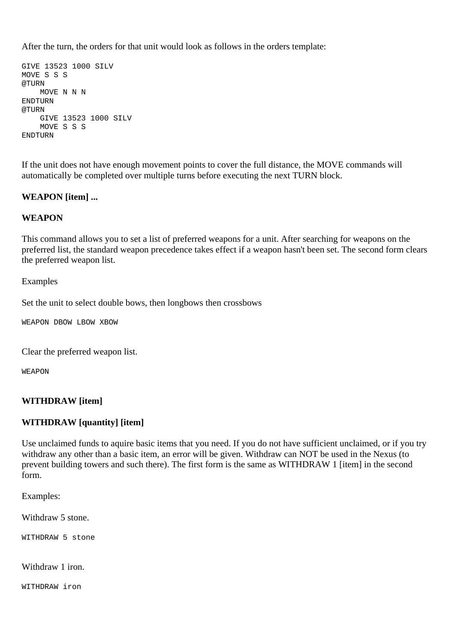After the turn, the orders for that unit would look as follows in the orders template:

```
GIVE 13523 1000 SILV 
MOVE S S S 
@TURN
     MOVE N N N 
ENDTURN 
@TURN 
     GIVE 13523 1000 SILV 
     MOVE S S S 
ENDTURN
```
If the unit does not have enough movement points to cover the full distance, the MOVE commands will automatically be completed over multiple turns before executing the next TURN block.

### <span id="page-42-0"></span>**WEAPON [item] ...**

### **WEAPON**

This command allows you to set a list of preferred weapons for a unit. After searching for weapons on the preferred list, the standard weapon precedence takes effect if a weapon hasn't been set. The second form clears the preferred weapon list.

### Examples

Set the unit to select double bows, then longbows then crossbows

WEAPON DBOW LBOW XBOW

Clear the preferred weapon list.

WEAPON

### <span id="page-42-1"></span>**WITHDRAW [item]**

### **WITHDRAW [quantity] [item]**

Use unclaimed funds to aquire basic items that you need. If you do not have sufficient unclaimed, or if you try withdraw any other than a basic item, an error will be given. Withdraw can NOT be used in the Nexus (to prevent building towers and such there). The first form is the same as WITHDRAW 1 [item] in the second form.

Examples:

Withdraw 5 stone.

WITHDRAW 5 stone

Withdraw 1 iron.

WITHDRAW iron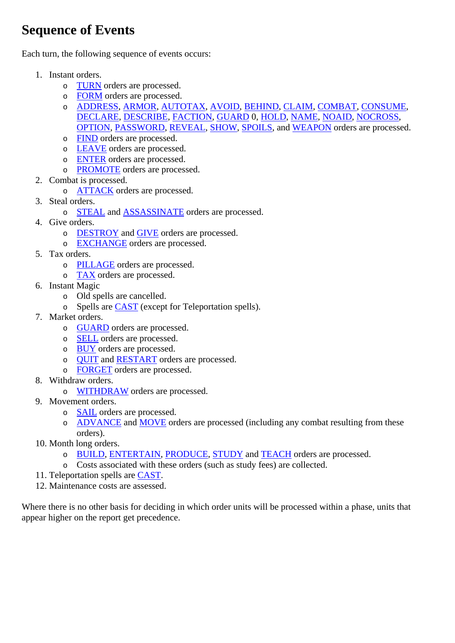## <span id="page-43-0"></span>**Sequence of Events**

Each turn, the following sequence of events occurs:

- 1. Instant orders.
	- o [TURN](#page-41-0) orders are processed.
	- o [FORM](#page-29-2) orders are processed.
	- o [ADDRESS,](#page-21-2) [ARMOR,](#page-21-4) [AUTOTAX,](#page-22-2) [AVOID,](#page-23-0) [BEHIND,](#page-23-1) [CLAIM,](#page-25-0) [COMBAT,](#page-25-1) [CONSUME,](#page-25-2) [DECLARE,](#page-26-0) [DESCRIBE,](#page-26-1) [FACTION,](#page-28-2) [GUARD](#page-31-0) 0, [HOLD,](#page-32-0) [NAME](#page-33-0), [NOAID,](#page-34-0) [NOCROSS,](#page-34-1) [OPTION](#page-34-2), [PASSWORD,](#page-35-0) [REVEAL,](#page-37-1) [SHOW](#page-38-1), [SPOILS](#page-39-0), and [WEAPON](#page-42-0) orders are processed.
	- o [FIND](#page-29-0) orders are processed.
	- o [LEAVE](#page-32-1) orders are processed.
	- o [ENTER](#page-27-1) orders are processed.
	- o [PROMOTE](#page-36-2) orders are processed.
- 2. Combat is processed.
	- o [ATTACK](#page-22-1) orders are processed.
- 3. Steal orders.
	- o [STEAL](#page-39-1) and [ASSASSINATE](#page-22-0) orders are processed.
- 4. Give orders.
	- o [DESTROY](#page-27-0) and [GIVE](#page-30-0) orders are processed.
	- o [EXCHANGE](#page-28-1) orders are processed.
- 5. Tax orders.
	- o [PILLAGE](#page-36-0) orders are processed.
	- o [TAX](#page-40-1) orders are processed.
- 6. Instant Magic
	- o Old spells are cancelled.
	- o Spells are [CAST](#page-24-1) (except for Teleportation spells).
- 7. Market orders.
	- o [GUARD](#page-31-0) orders are processed.
	- o [SELL](#page-38-0) orders are processed.
	- o [BUY](#page-24-0) orders are processed.
	- o [QUIT](#page-36-3) and [RESTART](#page-37-0) orders are processed.
	- o [FORGET](#page-29-1) orders are processed.
- 8. Withdraw orders.
	- o [WITHDRAW](#page-42-1) orders are processed.
- 9. Movement orders.
	- o [SAIL](#page-37-2) orders are processed.
	- o [ADVANCE](#page-21-3) and [MOVE](#page-32-2) orders are processed (including any combat resulting from these orders).
- 10. Month long orders.
	- o [BUILD,](#page-23-2) [ENTERTAIN](#page-27-2), [PRODUCE](#page-36-1), [STUDY](#page-40-0) and [TEACH](#page-40-2) orders are processed.
	- o Costs associated with these orders (such as study fees) are collected.
- 11. Teleportation spells are [CAST.](#page-24-1)
- 12. Maintenance costs are assessed.

<span id="page-43-1"></span>Where there is no other basis for deciding in which order units will be processed within a phase, units that appear higher on the report get precedence.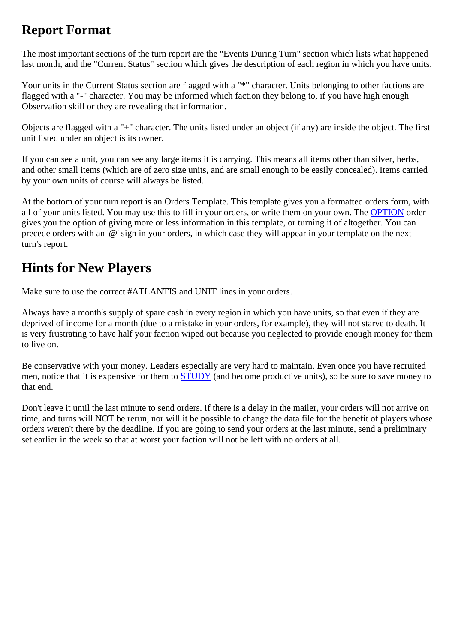## **Report Format**

The most important sections of the turn report are the "Events During Turn" section which lists what happened last month, and the "Current Status" section which gives the description of each region in which you have units.

Your units in the Current Status section are flagged with a "\*" character. Units belonging to other factions are flagged with a "-" character. You may be informed which faction they belong to, if you have high enough Observation skill or they are revealing that information.

Objects are flagged with a "+" character. The units listed under an object (if any) are inside the object. The first unit listed under an object is its owner.

If you can see a unit, you can see any large items it is carrying. This means all items other than silver, herbs, and other small items (which are of zero size units, and are small enough to be easily concealed). Items carried by your own units of course will always be listed.

At the bottom of your turn report is an Orders Template. This template gives you a formatted orders form, with all of your units listed. You may use this to fill in your orders, or write them on your own. The [OPTION](#page-34-2) order gives you the option of giving more or less information in this template, or turning it of altogether. You can precede orders with an '@' sign in your orders, in which case they will appear in your template on the next turn's report.

## <span id="page-44-0"></span>**Hints for New Players**

Make sure to use the correct #ATLANTIS and UNIT lines in your orders.

Always have a month's supply of spare cash in every region in which you have units, so that even if they are deprived of income for a month (due to a mistake in your orders, for example), they will not starve to death. It is very frustrating to have half your faction wiped out because you neglected to provide enough money for them to live on.

Be conservative with your money. Leaders especially are very hard to maintain. Even once you have recruited men, notice that it is expensive for them to [STUDY](#page-40-0) (and become productive units), so be sure to save money to that end.

<span id="page-44-1"></span>Don't leave it until the last minute to send orders. If there is a delay in the mailer, your orders will not arrive on time, and turns will NOT be rerun, nor will it be possible to change the data file for the benefit of players whose orders weren't there by the deadline. If you are going to send your orders at the last minute, send a preliminary set earlier in the week so that at worst your faction will not be left with no orders at all.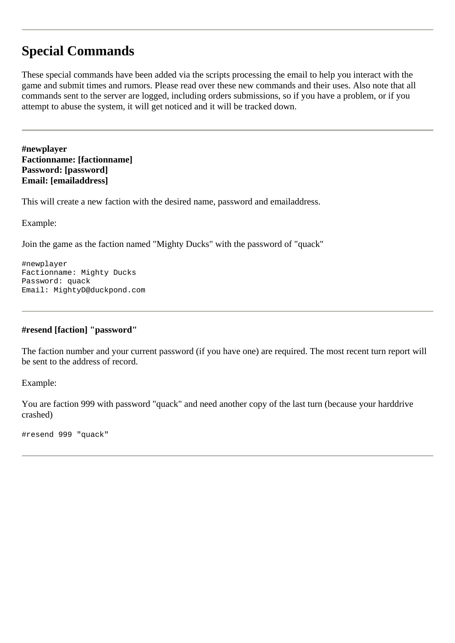## **Special Commands**

These special commands have been added via the scripts processing the email to help you interact with the game and submit times and rumors. Please read over these new commands and their uses. Also note that all commands sent to the server are logged, including orders submissions, so if you have a problem, or if you attempt to abuse the system, it will get noticed and it will be tracked down.

<span id="page-45-0"></span>**#newplayer Factionname: [factionname] Password: [password] Email: [emailaddress]** 

This will create a new faction with the desired name, password and emailaddress.

Example:

Join the game as the faction named "Mighty Ducks" with the password of "quack"

#newplayer Factionname: Mighty Ducks Password: quack Email: MightyD@duckpond.com

### **#resend [faction] "password"**

The faction number and your current password (if you have one) are required. The most recent turn report will be sent to the address of record.

Example:

You are faction 999 with password "quack" and need another copy of the last turn (because your harddrive crashed)

#resend 999 "quack"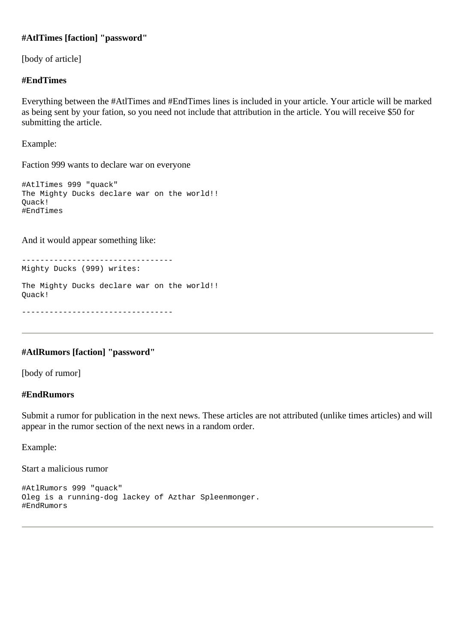### **#AtlTimes [faction] "password"**

[body of article]

### **#EndTimes**

Everything between the #AtlTimes and #EndTimes lines is included in your article. Your article will be marked as being sent by your fation, so you need not include that attribution in the article. You will receive \$50 for submitting the article.

Example:

Faction 999 wants to declare war on everyone

#AtlTimes 999 "quack" The Mighty Ducks declare war on the world!! Quack! #EndTimes

And it would appear something like:

---------------------------------

Mighty Ducks (999) writes:

The Mighty Ducks declare war on the world!! Quack!

---------------------------------

### **#AtlRumors [faction] "password"**

[body of rumor]

### **#EndRumors**

Submit a rumor for publication in the next news. These articles are not attributed (unlike times articles) and will appear in the rumor section of the next news in a random order.

Example:

Start a malicious rumor

```
#AtlRumors 999 "quack" 
Oleg is a running-dog lackey of Azthar Spleenmonger. 
#EndRumors
```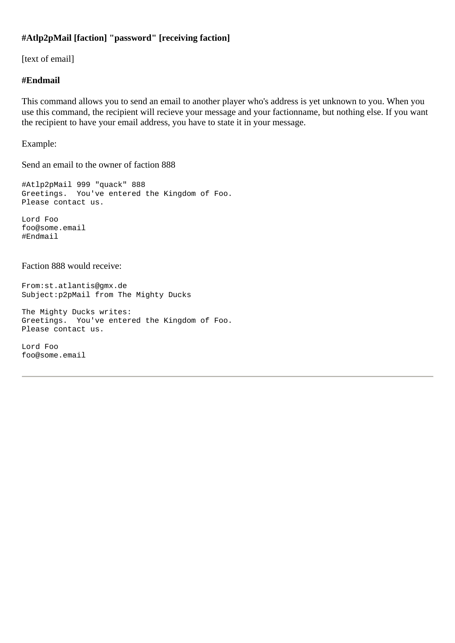### **#Atlp2pMail [faction] "password" [receiving faction]**

[text of email]

### **#Endmail**

This command allows you to send an email to another player who's address is yet unknown to you. When you use this command, the recipient will recieve your message and your factionname, but nothing else. If you want the recipient to have your email address, you have to state it in your message.

Example:

Send an email to the owner of faction 888

#Atlp2pMail 999 "quack" 888 Greetings. You've entered the Kingdom of Foo. Please contact us.

Lord Foo foo@some.email #Endmail

### Faction 888 would receive:

From:st.atlantis@gmx.de Subject:p2pMail from The Mighty Ducks

The Mighty Ducks writes: Greetings. You've entered the Kingdom of Foo. Please contact us.

Lord Foo foo@some.email